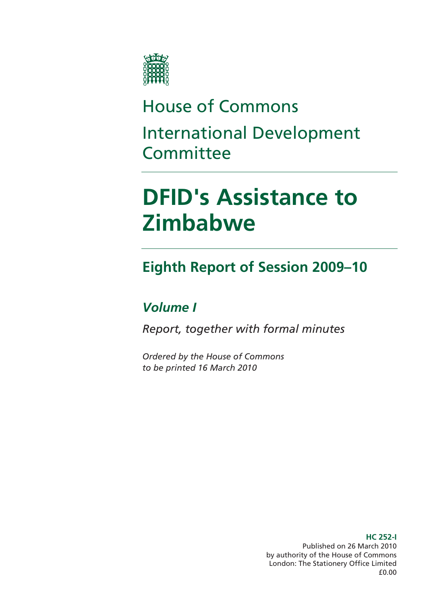

## House of Commons International Development **Committee**

# **DFID's Assistance to Zimbabwe**

## **Eighth Report of Session 2009–10**

### *Volume I*

*Report, together with formal minutes* 

*Ordered by the House of Commons to be printed 16 March 2010* 

> **HC 252-I**  Published on 26 March 2010 by authority of the House of Commons London: The Stationery Office Limited £0.00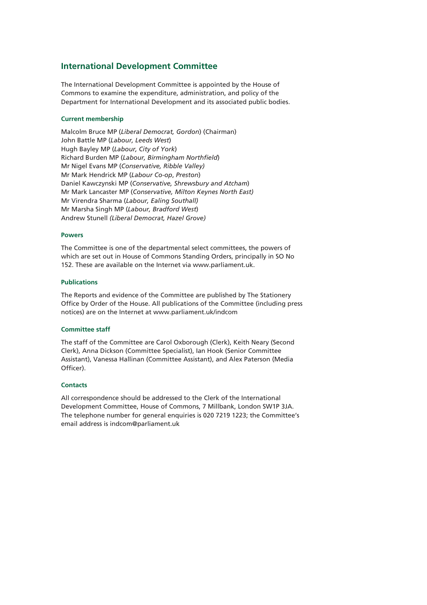### **International Development Committee**

The International Development Committee is appointed by the House of Commons to examine the expenditure, administration, and policy of the Department for International Development and its associated public bodies.

#### **Current membership**

Malcolm Bruce MP (*Liberal Democrat, Gordon*) (Chairman) John Battle MP (*Labour, Leeds West*) Hugh Bayley MP (*Labour, City of York*) Richard Burden MP (*Labour, Birmingham Northfield*) Mr Nigel Evans MP (*Conservative, Ribble Valley)*  Mr Mark Hendrick MP (*Labour Co-op*, *Preston*) Daniel Kawczynski MP (*Conservative, Shrewsbury and Atcham*) Mr Mark Lancaster MP (*Conservative, Milton Keynes North East)*  Mr Virendra Sharma (*Labour, Ealing Southall)* Mr Marsha Singh MP (*Labour, Bradford West*) Andrew Stunell *(Liberal Democrat, Hazel Grove)* 

#### **Powers**

The Committee is one of the departmental select committees, the powers of which are set out in House of Commons Standing Orders, principally in SO No 152. These are available on the Internet via www.parliament.uk.

#### **Publications**

The Reports and evidence of the Committee are published by The Stationery Office by Order of the House. All publications of the Committee (including press notices) are on the Internet at www.parliament.uk/indcom

#### **Committee staff**

The staff of the Committee are Carol Oxborough (Clerk), Keith Neary (Second Clerk), Anna Dickson (Committee Specialist), Ian Hook (Senior Committee Assistant), Vanessa Hallinan (Committee Assistant), and Alex Paterson (Media Officer).

#### **Contacts**

All correspondence should be addressed to the Clerk of the International Development Committee, House of Commons, 7 Millbank, London SW1P 3JA. The telephone number for general enquiries is 020 7219 1223; the Committee's email address is indcom@parliament.uk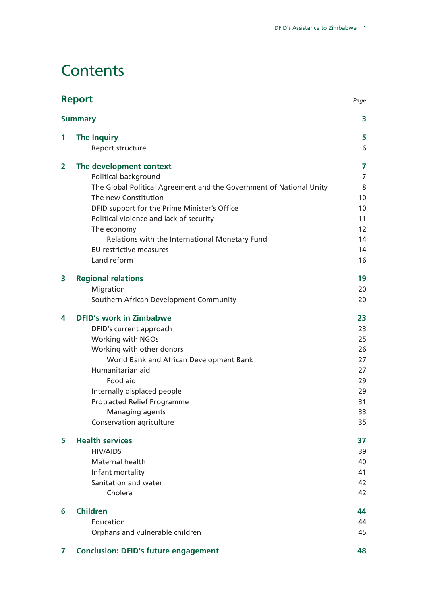### **Contents**

|   | <b>Report</b>                                                       | Page           |
|---|---------------------------------------------------------------------|----------------|
|   | <b>Summary</b>                                                      | 3              |
| 1 | <b>The Inquiry</b>                                                  | 5              |
|   | Report structure                                                    | 6              |
| 2 | The development context                                             | 7              |
|   | Political background                                                | $\overline{7}$ |
|   | The Global Political Agreement and the Government of National Unity | 8              |
|   | The new Constitution                                                | 10             |
|   | DFID support for the Prime Minister's Office                        | 10             |
|   | Political violence and lack of security                             | 11             |
|   | The economy                                                         | 12             |
|   | Relations with the International Monetary Fund                      | 14             |
|   | EU restrictive measures                                             | 14             |
|   | Land reform                                                         | 16             |
| 3 | <b>Regional relations</b>                                           | 19             |
|   | Migration                                                           | 20             |
|   | Southern African Development Community                              | 20             |
| 4 | <b>DFID's work in Zimbabwe</b>                                      | 23             |
|   | DFID's current approach                                             | 23             |
|   | Working with NGOs                                                   | 25             |
|   | Working with other donors                                           | 26             |
|   | World Bank and African Development Bank                             | 27             |
|   | Humanitarian aid                                                    | 27             |
|   | Food aid                                                            | 29             |
|   | Internally displaced people                                         | 29             |
|   | <b>Protracted Relief Programme</b>                                  | 31             |
|   | Managing agents                                                     | 33             |
|   | Conservation agriculture                                            | 35             |
| 5 | <b>Health services</b>                                              | 37             |
|   | <b>HIV/AIDS</b>                                                     | 39             |
|   | Maternal health                                                     | 40             |
|   | Infant mortality                                                    | 41             |
|   | Sanitation and water                                                | 42             |
|   | Cholera                                                             | 42             |
| 6 | <b>Children</b>                                                     | 44             |
|   | Education                                                           | 44             |
|   | Orphans and vulnerable children                                     | 45             |
| 7 | <b>Conclusion: DFID's future engagement</b>                         | 48             |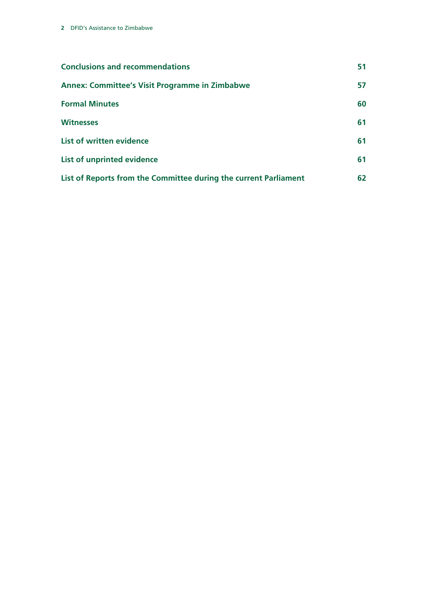| <b>Conclusions and recommendations</b>                           | 51 |
|------------------------------------------------------------------|----|
| <b>Annex: Committee's Visit Programme in Zimbabwe</b>            | 57 |
| <b>Formal Minutes</b>                                            | 60 |
| <b>Witnesses</b>                                                 | 61 |
| List of written evidence                                         | 61 |
| List of unprinted evidence                                       | 61 |
| List of Reports from the Committee during the current Parliament | 62 |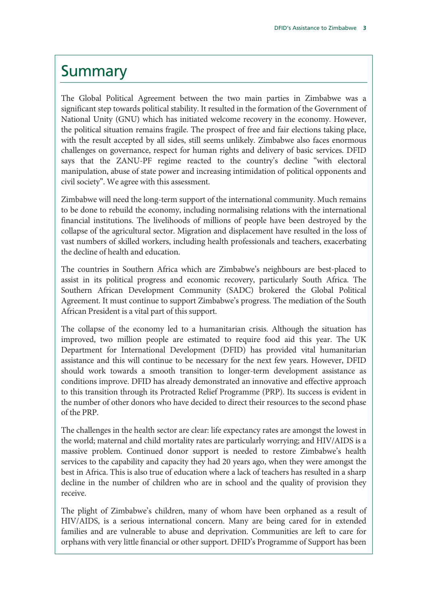### **Summary**

The Global Political Agreement between the two main parties in Zimbabwe was a significant step towards political stability. It resulted in the formation of the Government of National Unity (GNU) which has initiated welcome recovery in the economy. However, the political situation remains fragile. The prospect of free and fair elections taking place, with the result accepted by all sides, still seems unlikely. Zimbabwe also faces enormous challenges on governance, respect for human rights and delivery of basic services. DFID says that the ZANU-PF regime reacted to the country's decline "with electoral manipulation, abuse of state power and increasing intimidation of political opponents and civil society". We agree with this assessment.

Zimbabwe will need the long-term support of the international community. Much remains to be done to rebuild the economy, including normalising relations with the international financial institutions. The livelihoods of millions of people have been destroyed by the collapse of the agricultural sector. Migration and displacement have resulted in the loss of vast numbers of skilled workers, including health professionals and teachers, exacerbating the decline of health and education.

The countries in Southern Africa which are Zimbabwe's neighbours are best-placed to assist in its political progress and economic recovery, particularly South Africa. The Southern African Development Community (SADC) brokered the Global Political Agreement. It must continue to support Zimbabwe's progress. The mediation of the South African President is a vital part of this support.

The collapse of the economy led to a humanitarian crisis. Although the situation has improved, two million people are estimated to require food aid this year. The UK Department for International Development (DFID) has provided vital humanitarian assistance and this will continue to be necessary for the next few years. However, DFID should work towards a smooth transition to longer-term development assistance as conditions improve. DFID has already demonstrated an innovative and effective approach to this transition through its Protracted Relief Programme (PRP). Its success is evident in the number of other donors who have decided to direct their resources to the second phase of the PRP.

The challenges in the health sector are clear: life expectancy rates are amongst the lowest in the world; maternal and child mortality rates are particularly worrying; and HIV/AIDS is a massive problem. Continued donor support is needed to restore Zimbabwe's health services to the capability and capacity they had 20 years ago, when they were amongst the best in Africa. This is also true of education where a lack of teachers has resulted in a sharp decline in the number of children who are in school and the quality of provision they receive.

The plight of Zimbabwe's children, many of whom have been orphaned as a result of HIV/AIDS, is a serious international concern. Many are being cared for in extended families and are vulnerable to abuse and deprivation. Communities are left to care for orphans with very little financial or other support. DFID's Programme of Support has been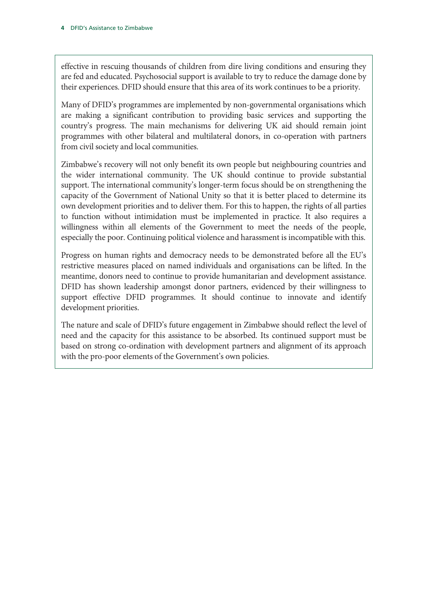effective in rescuing thousands of children from dire living conditions and ensuring they are fed and educated. Psychosocial support is available to try to reduce the damage done by their experiences. DFID should ensure that this area of its work continues to be a priority.

Many of DFID's programmes are implemented by non-governmental organisations which are making a significant contribution to providing basic services and supporting the country's progress. The main mechanisms for delivering UK aid should remain joint programmes with other bilateral and multilateral donors, in co-operation with partners from civil society and local communities.

Zimbabwe's recovery will not only benefit its own people but neighbouring countries and the wider international community. The UK should continue to provide substantial support. The international community's longer-term focus should be on strengthening the capacity of the Government of National Unity so that it is better placed to determine its own development priorities and to deliver them. For this to happen, the rights of all parties to function without intimidation must be implemented in practice. It also requires a willingness within all elements of the Government to meet the needs of the people, especially the poor. Continuing political violence and harassment is incompatible with this.

Progress on human rights and democracy needs to be demonstrated before all the EU's restrictive measures placed on named individuals and organisations can be lifted. In the meantime, donors need to continue to provide humanitarian and development assistance. DFID has shown leadership amongst donor partners, evidenced by their willingness to support effective DFID programmes. It should continue to innovate and identify development priorities.

The nature and scale of DFID's future engagement in Zimbabwe should reflect the level of need and the capacity for this assistance to be absorbed. Its continued support must be based on strong co-ordination with development partners and alignment of its approach with the pro-poor elements of the Government's own policies.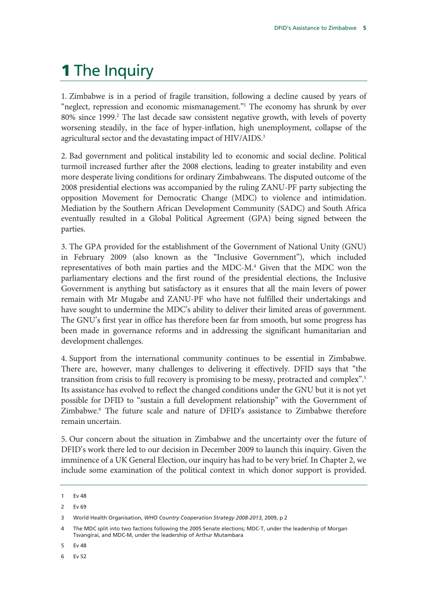## 1 The Inquiry

1. Zimbabwe is in a period of fragile transition, following a decline caused by years of "neglect, repression and economic mismanagement."<sup>1</sup> The economy has shrunk by over 80% since 1999.<sup>2</sup> The last decade saw consistent negative growth, with levels of poverty worsening steadily, in the face of hyper-inflation, high unemployment, collapse of the agricultural sector and the devastating impact of HIV/AIDS.<sup>3</sup>

2. Bad government and political instability led to economic and social decline. Political turmoil increased further after the 2008 elections, leading to greater instability and even more desperate living conditions for ordinary Zimbabweans. The disputed outcome of the 2008 presidential elections was accompanied by the ruling ZANU-PF party subjecting the opposition Movement for Democratic Change (MDC) to violence and intimidation. Mediation by the Southern African Development Community (SADC) and South Africa eventually resulted in a Global Political Agreement (GPA) being signed between the parties.

3. The GPA provided for the establishment of the Government of National Unity (GNU) in February 2009 (also known as the "Inclusive Government"), which included representatives of both main parties and the MDC-M.<sup>4</sup> Given that the MDC won the parliamentary elections and the first round of the presidential elections, the Inclusive Government is anything but satisfactory as it ensures that all the main levers of power remain with Mr Mugabe and ZANU-PF who have not fulfilled their undertakings and have sought to undermine the MDC's ability to deliver their limited areas of government. The GNU's first year in office has therefore been far from smooth, but some progress has been made in governance reforms and in addressing the significant humanitarian and development challenges.

4. Support from the international community continues to be essential in Zimbabwe. There are, however, many challenges to delivering it effectively. DFID says that "the transition from crisis to full recovery is promising to be messy, protracted and complex".5 Its assistance has evolved to reflect the changed conditions under the GNU but it is not yet possible for DFID to "sustain a full development relationship" with the Government of Zimbabwe.<sup>6</sup> The future scale and nature of DFID's assistance to Zimbabwe therefore remain uncertain.

5. Our concern about the situation in Zimbabwe and the uncertainty over the future of DFID's work there led to our decision in December 2009 to launch this inquiry. Given the imminence of a UK General Election, our inquiry has had to be very brief. In Chapter 2, we include some examination of the political context in which donor support is provided.

5 Ev 48

<sup>1</sup> Ev 48

<sup>2</sup> Ev 69

<sup>3</sup> World Health Organisation, *WHO Country Cooperation Strategy 2008-2013*, 2009, p 2

The MDC split into two factions following the 2005 Senate elections; MDC-T, under the leadership of Morgan Tsvangirai, and MDC-M, under the leadership of Arthur Mutambara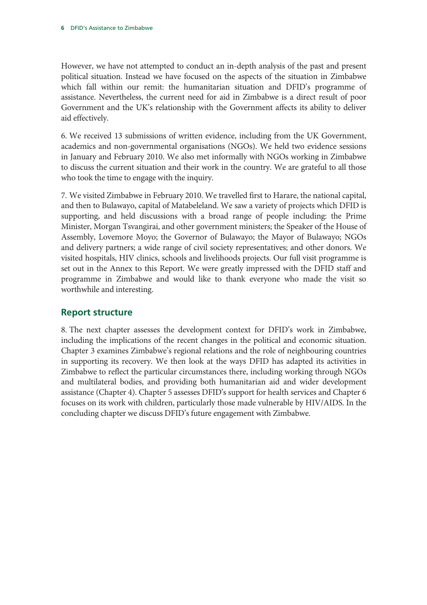However, we have not attempted to conduct an in-depth analysis of the past and present political situation. Instead we have focused on the aspects of the situation in Zimbabwe which fall within our remit: the humanitarian situation and DFID's programme of assistance. Nevertheless, the current need for aid in Zimbabwe is a direct result of poor Government and the UK's relationship with the Government affects its ability to deliver aid effectively.

6. We received 13 submissions of written evidence, including from the UK Government, academics and non-governmental organisations (NGOs). We held two evidence sessions in January and February 2010. We also met informally with NGOs working in Zimbabwe to discuss the current situation and their work in the country. We are grateful to all those who took the time to engage with the inquiry.

7. We visited Zimbabwe in February 2010. We travelled first to Harare, the national capital, and then to Bulawayo, capital of Matabeleland. We saw a variety of projects which DFID is supporting, and held discussions with a broad range of people including: the Prime Minister, Morgan Tsvangirai, and other government ministers; the Speaker of the House of Assembly, Lovemore Moyo; the Governor of Bulawayo; the Mayor of Bulawayo; NGOs and delivery partners; a wide range of civil society representatives; and other donors. We visited hospitals, HIV clinics, schools and livelihoods projects. Our full visit programme is set out in the Annex to this Report. We were greatly impressed with the DFID staff and programme in Zimbabwe and would like to thank everyone who made the visit so worthwhile and interesting.

### **Report structure**

8. The next chapter assesses the development context for DFID's work in Zimbabwe, including the implications of the recent changes in the political and economic situation. Chapter 3 examines Zimbabwe's regional relations and the role of neighbouring countries in supporting its recovery. We then look at the ways DFID has adapted its activities in Zimbabwe to reflect the particular circumstances there, including working through NGOs and multilateral bodies, and providing both humanitarian aid and wider development assistance (Chapter 4). Chapter 5 assesses DFID's support for health services and Chapter 6 focuses on its work with children, particularly those made vulnerable by HIV/AIDS. In the concluding chapter we discuss DFID's future engagement with Zimbabwe.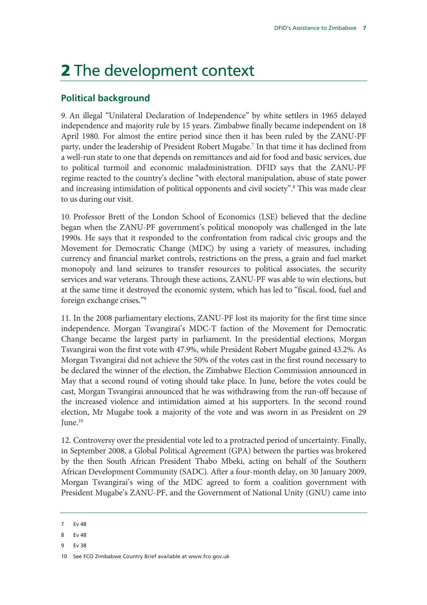## 2 The development context

### **Political background**

9. An illegal "Unilateral Declaration of Independence" by white settlers in 1965 delayed independence and majority rule by 15 years. Zimbabwe finally became independent on 18 April 1980. For almost the entire period since then it has been ruled by the ZANU-PF party, under the leadership of President Robert Mugabe.<sup>7</sup> In that time it has declined from a well-run state to one that depends on remittances and aid for food and basic services, due to political turmoil and economic maladministration. DFID says that the ZANU-PF regime reacted to the country's decline "with electoral manipulation, abuse of state power and increasing intimidation of political opponents and civil society".<sup>8</sup> This was made clear to us during our visit.

10. Professor Brett of the London School of Economics (LSE) believed that the decline began when the ZANU-PF government's political monopoly was challenged in the late 1990s. He says that it responded to the confrontation from radical civic groups and the Movement for Democratic Change (MDC) by using a variety of measures, including currency and financial market controls, restrictions on the press, a grain and fuel market monopoly and land seizures to transfer resources to political associates, the security services and war veterans. Through these actions, ZANU-PF was able to win elections, but at the same time it destroyed the economic system, which has led to "fiscal, food, fuel and foreign exchange crises."9

11. In the 2008 parliamentary elections, ZANU-PF lost its majority for the first time since independence. Morgan Tsvangirai's MDC-T faction of the Movement for Democratic Change became the largest party in parliament. In the presidential elections, Morgan Tsvangirai won the first vote with 47.9%, while President Robert Mugabe gained 43.2%. As Morgan Tsvangirai did not achieve the 50% of the votes cast in the first round necessary to be declared the winner of the election, the Zimbabwe Election Commission announced in May that a second round of voting should take place. In June, before the votes could be cast, Morgan Tsvangirai announced that he was withdrawing from the run-off because of the increased violence and intimidation aimed at his supporters. In the second round election, Mr Mugabe took a majority of the vote and was sworn in as President on 29  $I$ une. $10$ 

12. Controversy over the presidential vote led to a protracted period of uncertainty. Finally, in September 2008, a Global Political Agreement (GPA) between the parties was brokered by the then South African President Thabo Mbeki, acting on behalf of the Southern African Development Community (SADC). After a four-month delay, on 30 January 2009, Morgan Tsvangirai's wing of the MDC agreed to form a coalition government with President Mugabe's ZANU-PF, and the Government of National Unity (GNU) came into

- 8 Ev 48
- 9 Ev 38

10 See FCO Zimbabwe Country Brief available at www.fco.gov.uk

Ev 48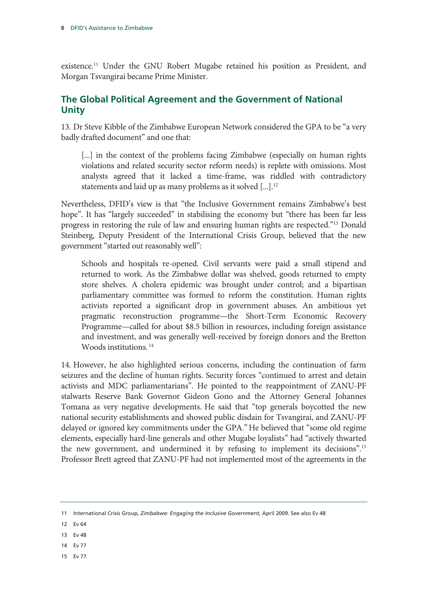existence.11 Under the GNU Robert Mugabe retained his position as President, and Morgan Tsvangirai became Prime Minister.

### **The Global Political Agreement and the Government of National Unity**

13. Dr Steve Kibble of the Zimbabwe European Network considered the GPA to be "a very badly drafted document" and one that:

[...] in the context of the problems facing Zimbabwe (especially on human rights violations and related security sector reform needs) is replete with omissions. Most analysts agreed that it lacked a time-frame, was riddled with contradictory statements and laid up as many problems as it solved [...].<sup>12</sup>

Nevertheless, DFID's view is that "the Inclusive Government remains Zimbabwe's best hope". It has "largely succeeded" in stabilising the economy but "there has been far less progress in restoring the rule of law and ensuring human rights are respected."13 Donald Steinberg, Deputy President of the International Crisis Group, believed that the new government "started out reasonably well":

Schools and hospitals re-opened. Civil servants were paid a small stipend and returned to work. As the Zimbabwe dollar was shelved, goods returned to empty store shelves. A cholera epidemic was brought under control; and a bipartisan parliamentary committee was formed to reform the constitution. Human rights activists reported a significant drop in government abuses. An ambitious yet pragmatic reconstruction programme—the Short-Term Economic Recovery Programme—called for about \$8.5 billion in resources, including foreign assistance and investment, and was generally well-received by foreign donors and the Bretton Woods institutions. 14

14. However, he also highlighted serious concerns, including the continuation of farm seizures and the decline of human rights. Security forces "continued to arrest and detain activists and MDC parliamentarians". He pointed to the reappointment of ZANU-PF stalwarts Reserve Bank Governor Gideon Gono and the Attorney General Johannes Tomana as very negative developments. He said that "top generals boycotted the new national security establishments and showed public disdain for Tsvangirai, and ZANU-PF delayed or ignored key commitments under the GPA." He believed that "some old regime elements, especially hard-line generals and other Mugabe loyalists" had "actively thwarted the new government, and undermined it by refusing to implement its decisions".15 Professor Brett agreed that ZANU-PF had not implemented most of the agreements in the

- 12 Ev 64
- 13 Ev 48
- 14 Ev 77
- 15 Ev 77

<sup>11</sup> International Crisis Group, *Zimbabwe: Engaging the Inclusive Government,* April 2009. See also Ev 48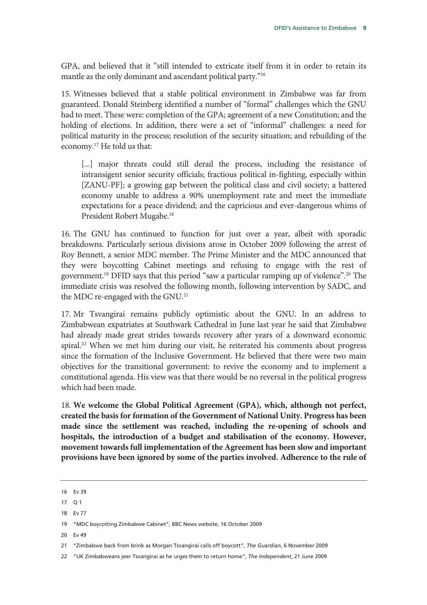GPA, and believed that it "still intended to extricate itself from it in order to retain its mantle as the only dominant and ascendant political party."16

15. Witnesses believed that a stable political environment in Zimbabwe was far from guaranteed. Donald Steinberg identified a number of "formal" challenges which the GNU had to meet. These were: completion of the GPA; agreement of a new Constitution; and the holding of elections. In addition, there were a set of "informal" challenges: a need for political maturity in the process; resolution of the security situation; and rebuilding of the economy.17 He told us that:

[...] major threats could still derail the process, including the resistance of intransigent senior security officials; fractious political in-fighting, especially within [ZANU-PF]; a growing gap between the political class and civil society; a battered economy unable to address a 90% unemployment rate and meet the immediate expectations for a peace dividend; and the capricious and ever-dangerous whims of President Robert Mugabe.18

16. The GNU has continued to function for just over a year, albeit with sporadic breakdowns. Particularly serious divisions arose in October 2009 following the arrest of Roy Bennett, a senior MDC member. The Prime Minister and the MDC announced that they were boycotting Cabinet meetings and refusing to engage with the rest of government.<sup>19</sup> DFID says that this period "saw a particular ramping up of violence".<sup>20</sup> The immediate crisis was resolved the following month, following intervention by SADC, and the MDC re-engaged with the GNU.21

17. Mr Tsvangirai remains publicly optimistic about the GNU. In an address to Zimbabwean expatriates at Southwark Cathedral in June last year he said that Zimbabwe had already made great strides towards recovery after years of a downward economic spiral.22 When we met him during our visit, he reiterated his comments about progress since the formation of the Inclusive Government. He believed that there were two main objectives for the transitional government: to revive the economy and to implement a constitutional agenda. His view was that there would be no reversal in the political progress which had been made.

18. **We welcome the Global Political Agreement (GPA), which, although not perfect, created the basis for formation of the Government of National Unity. Progress has been made since the settlement was reached, including the re-opening of schools and hospitals, the introduction of a budget and stabilisation of the economy. However, movement towards full implementation of the Agreement has been slow and important provisions have been ignored by some of the parties involved. Adherence to the rule of** 

18 Ev 77

<sup>16</sup> Ev 39

 $17 \quad \Omega$  1

<sup>19 &</sup>quot;MDC boycotting Zimbabwe Cabinet", BBC News website, 16 October 2009

<sup>21 &</sup>quot;Zimbabwe back from brink as Morgan Tsvangirai calls off boycott", *The Guardian*, 6 November 2009

<sup>22 &</sup>quot;UK Zimbabweans jeer Tsvangirai as he urges them to return home", *The Independent*, 21 June 2009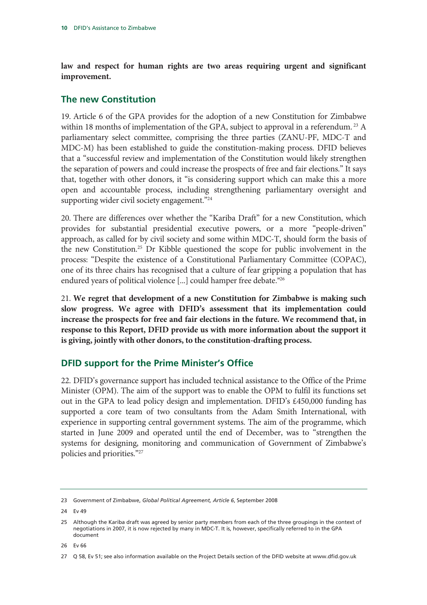**law and respect for human rights are two areas requiring urgent and significant improvement.** 

### **The new Constitution**

19. Article 6 of the GPA provides for the adoption of a new Constitution for Zimbabwe within 18 months of implementation of the GPA, subject to approval in a referendum.<sup>23</sup> A parliamentary select committee, comprising the three parties (ZANU-PF, MDC-T and MDC-M) has been established to guide the constitution-making process. DFID believes that a "successful review and implementation of the Constitution would likely strengthen the separation of powers and could increase the prospects of free and fair elections." It says that, together with other donors, it "is considering support which can make this a more open and accountable process, including strengthening parliamentary oversight and supporting wider civil society engagement."<sup>24</sup>

20. There are differences over whether the "Kariba Draft" for a new Constitution, which provides for substantial presidential executive powers, or a more "people-driven" approach, as called for by civil society and some within MDC-T, should form the basis of the new Constitution.25 Dr Kibble questioned the scope for public involvement in the process: "Despite the existence of a Constitutional Parliamentary Committee (COPAC), one of its three chairs has recognised that a culture of fear gripping a population that has endured years of political violence [...] could hamper free debate."26

21. **We regret that development of a new Constitution for Zimbabwe is making such slow progress. We agree with DFID's assessment that its implementation could increase the prospects for free and fair elections in the future. We recommend that, in response to this Report, DFID provide us with more information about the support it is giving, jointly with other donors, to the constitution-drafting process.** 

### **DFID support for the Prime Minister's Office**

22. DFID's governance support has included technical assistance to the Office of the Prime Minister (OPM). The aim of the support was to enable the OPM to fulfil its functions set out in the GPA to lead policy design and implementation. DFID's £450,000 funding has supported a core team of two consultants from the Adam Smith International, with experience in supporting central government systems. The aim of the programme, which started in June 2009 and operated until the end of December, was to "strengthen the systems for designing, monitoring and communication of Government of Zimbabwe's policies and priorities."27

<sup>23</sup> Government of Zimbabwe, *Global Political Agreement, Article 6*, September 2008

<sup>24</sup> Ev 49

<sup>25</sup> Although the Kariba draft was agreed by senior party members from each of the three groupings in the context of negotiations in 2007, it is now rejected by many in MDC-T. It is, however, specifically referred to in the GPA document

<sup>27</sup> Q 58, Ev 51; see also information available on the Project Details section of the DFID website at www.dfid.gov.uk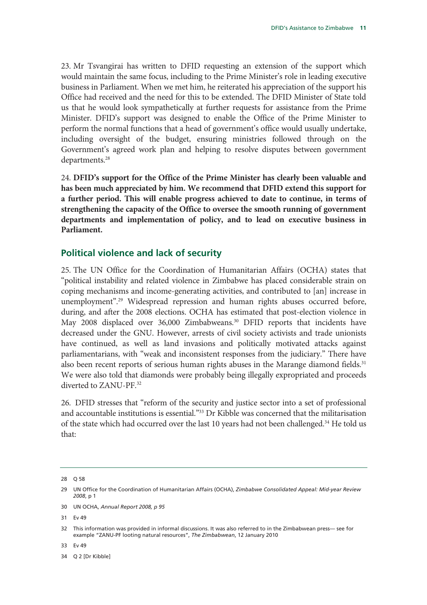23. Mr Tsvangirai has written to DFID requesting an extension of the support which would maintain the same focus, including to the Prime Minister's role in leading executive business in Parliament. When we met him, he reiterated his appreciation of the support his Office had received and the need for this to be extended. The DFID Minister of State told us that he would look sympathetically at further requests for assistance from the Prime Minister. DFID's support was designed to enable the Office of the Prime Minister to perform the normal functions that a head of government's office would usually undertake, including oversight of the budget, ensuring ministries followed through on the Government's agreed work plan and helping to resolve disputes between government departments.<sup>28</sup>

24. **DFID's support for the Office of the Prime Minister has clearly been valuable and has been much appreciated by him. We recommend that DFID extend this support for a further period. This will enable progress achieved to date to continue, in terms of strengthening the capacity of the Office to oversee the smooth running of government departments and implementation of policy, and to lead on executive business in Parliament.** 

### **Political violence and lack of security**

25. The UN Office for the Coordination of Humanitarian Affairs (OCHA) states that "political instability and related violence in Zimbabwe has placed considerable strain on coping mechanisms and income-generating activities, and contributed to [an] increase in unemployment".29 Widespread repression and human rights abuses occurred before, during, and after the 2008 elections. OCHA has estimated that post-election violence in May 2008 displaced over 36,000 Zimbabweans.<sup>30</sup> DFID reports that incidents have decreased under the GNU. However, arrests of civil society activists and trade unionists have continued, as well as land invasions and politically motivated attacks against parliamentarians, with "weak and inconsistent responses from the judiciary." There have also been recent reports of serious human rights abuses in the Marange diamond fields.<sup>31</sup> We were also told that diamonds were probably being illegally expropriated and proceeds diverted to ZANU-PF.<sup>32</sup>

26. DFID stresses that "reform of the security and justice sector into a set of professional and accountable institutions is essential."<sup>33</sup> Dr Kibble was concerned that the militarisation of the state which had occurred over the last 10 years had not been challenged.<sup>34</sup> He told us that:

31 Ev 49

33 Ev 49

34 Q 2 [Dr Kibble]

<sup>28</sup> Q 58

<sup>29</sup> UN Office for the Coordination of Humanitarian Affairs (OCHA), *Zimbabwe Consolidated Appeal: Mid-year Review 2008*, p 1

<sup>30</sup> UN OCHA, *Annual Report 2008, p 95*

<sup>32</sup> This information was provided in informal discussions. It was also referred to in the Zimbabwean press— see for example "ZANU-PF looting natural resources", *The Zimbabwean*, 12 January 2010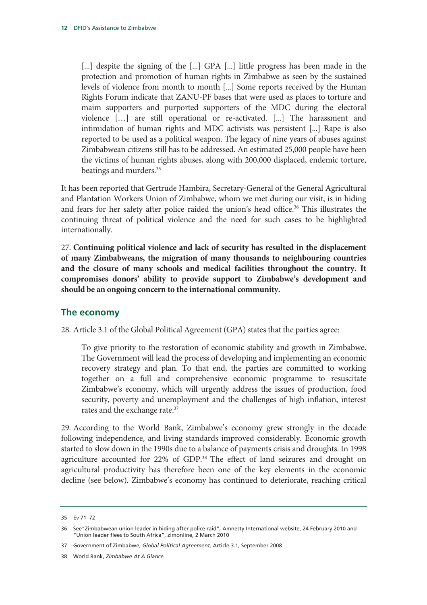[...] despite the signing of the [...] GPA [...] little progress has been made in the protection and promotion of human rights in Zimbabwe as seen by the sustained levels of violence from month to month [...] Some reports received by the Human Rights Forum indicate that ZANU-PF bases that were used as places to torture and maim supporters and purported supporters of the MDC during the electoral violence […] are still operational or re-activated. [...] The harassment and intimidation of human rights and MDC activists was persistent [...] Rape is also reported to be used as a political weapon. The legacy of nine years of abuses against Zimbabwean citizens still has to be addressed. An estimated 25,000 people have been the victims of human rights abuses, along with 200,000 displaced, endemic torture, beatings and murders.35

It has been reported that Gertrude Hambira, Secretary-General of the General Agricultural and Plantation Workers Union of Zimbabwe, whom we met during our visit, is in hiding and fears for her safety after police raided the union's head office.<sup>36</sup> This illustrates the continuing threat of political violence and the need for such cases to be highlighted internationally.

27. **Continuing political violence and lack of security has resulted in the displacement of many Zimbabweans, the migration of many thousands to neighbouring countries and the closure of many schools and medical facilities throughout the country. It compromises donors' ability to provide support to Zimbabwe's development and should be an ongoing concern to the international community.**

### **The economy**

28. Article 3.1 of the Global Political Agreement (GPA) states that the parties agree:

To give priority to the restoration of economic stability and growth in Zimbabwe. The Government will lead the process of developing and implementing an economic recovery strategy and plan. To that end, the parties are committed to working together on a full and comprehensive economic programme to resuscitate Zimbabwe's economy, which will urgently address the issues of production, food security, poverty and unemployment and the challenges of high inflation, interest rates and the exchange rate.<sup>37</sup>

29. According to the World Bank, Zimbabwe's economy grew strongly in the decade following independence, and living standards improved considerably. Economic growth started to slow down in the 1990s due to a balance of payments crisis and droughts. In 1998 agriculture accounted for 22% of GDP.<sup>38</sup> The effect of land seizures and drought on agricultural productivity has therefore been one of the key elements in the economic decline (see below). Zimbabwe's economy has continued to deteriorate, reaching critical

<sup>35</sup> Ev 71–72

<sup>36</sup> See"Zimbabwean union leader in hiding after police raid", Amnesty International website, 24 February 2010 and "Union leader flees to South Africa", zimonline, 2 March 2010

<sup>37</sup> Government of Zimbabwe, *Global Political Agreement,* Article 3.1, September 2008

<sup>38</sup> World Bank, *Zimbabwe At A Glance*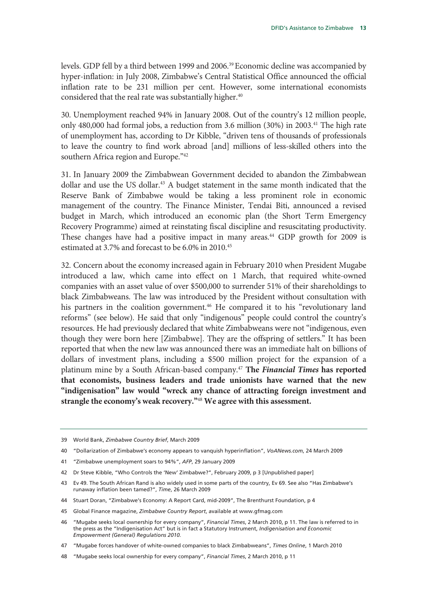levels. GDP fell by a third between 1999 and 2006.39 Economic decline was accompanied by hyper-inflation: in July 2008, Zimbabwe's Central Statistical Office announced the official inflation rate to be 231 million per cent. However, some international economists considered that the real rate was substantially higher.<sup>40</sup>

30. Unemployment reached 94% in January 2008. Out of the country's 12 million people, only 480,000 had formal jobs, a reduction from 3.6 million (30%) in 2003.<sup>41</sup> The high rate of unemployment has, according to Dr Kibble, "driven tens of thousands of professionals to leave the country to find work abroad [and] millions of less-skilled others into the southern Africa region and Europe."<sup>42</sup>

31. In January 2009 the Zimbabwean Government decided to abandon the Zimbabwean dollar and use the US dollar.<sup>43</sup> A budget statement in the same month indicated that the Reserve Bank of Zimbabwe would be taking a less prominent role in economic management of the country. The Finance Minister, Tendai Biti, announced a revised budget in March, which introduced an economic plan (the Short Term Emergency Recovery Programme) aimed at reinstating fiscal discipline and resuscitating productivity. These changes have had a positive impact in many areas.<sup>44</sup> GDP growth for 2009 is estimated at 3.7% and forecast to be 6.0% in 2010.<sup>45</sup>

32. Concern about the economy increased again in February 2010 when President Mugabe introduced a law, which came into effect on 1 March, that required white-owned companies with an asset value of over \$500,000 to surrender 51% of their shareholdings to black Zimbabweans. The law was introduced by the President without consultation with his partners in the coalition government.<sup>46</sup> He compared it to his "revolutionary land reforms" (see below). He said that only "indigenous" people could control the country's resources. He had previously declared that white Zimbabweans were not "indigenous, even though they were born here [Zimbabwe]. They are the offspring of settlers." It has been reported that when the new law was announced there was an immediate halt on billions of dollars of investment plans, including a \$500 million project for the expansion of a platinum mine by a South African-based company.47 **The** *Financial Times* **has reported that economists, business leaders and trade unionists have warned that the new "indigenisation" law would "wreck any chance of attracting foreign investment and strangle the economy's weak recovery."**<sup>48</sup> **We agree with this assessment.** 

- 41 "Zimbabwe unemployment soars to 94%", *AFP*, 29 January 2009
- 42 Dr Steve Kibble, "Who Controls the 'New' Zimbabwe?", February 2009, p 3 [Unpublished paper]
- 43 Ev 49. The South African Rand is also widely used in some parts of the country, Ev 69. See also "Has Zimbabwe's runaway inflation been tamed?", *Time*, 26 March 2009
- 44 Stuart Doran, "Zimbabwe's Economy: A Report Card, mid-2009", The Brenthurst Foundation, p 4
- 45 Global Finance magazine, *Zimbabwe Country Report*, available at www.gfmag.com
- 46 "Mugabe seeks local ownership for every company", *Financial Times*, 2 March 2010, p 11. The law is referred to in the press as the "Indigenisation Act" but is in fact a Statutory Instrument, *Indigenisation and Economic Empowerment (General) Regulations 2010.*

<sup>39</sup> World Bank, *Zimbabwe Country Brief*, March 2009

<sup>40 &</sup>quot;Dollarization of Zimbabwe's economy appears to vanquish hyperinflation", *VoANews.com*, 24 March 2009

<sup>47 &</sup>quot;Mugabe forces handover of white-owned companies to black Zimbabweans", *Times Online*, 1 March 2010

<sup>48 &</sup>quot;Mugabe seeks local ownership for every company", *Financial Times*, 2 March 2010, p 11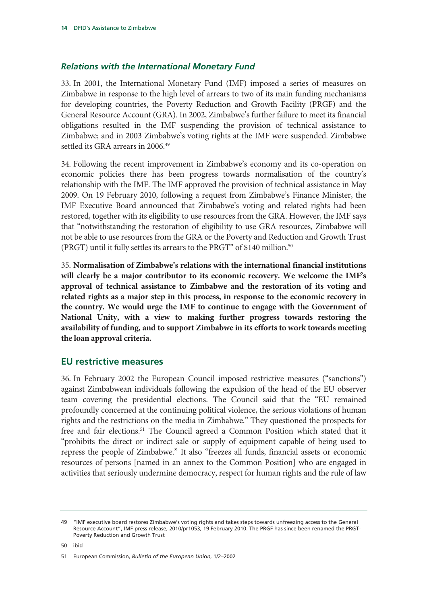### *Relations with the International Monetary Fund*

33. In 2001, the International Monetary Fund (IMF) imposed a series of measures on Zimbabwe in response to the high level of arrears to two of its main funding mechanisms for developing countries, the Poverty Reduction and Growth Facility (PRGF) and the General Resource Account (GRA). In 2002, Zimbabwe's further failure to meet its financial obligations resulted in the IMF suspending the provision of technical assistance to Zimbabwe; and in 2003 Zimbabwe's voting rights at the IMF were suspended. Zimbabwe settled its GRA arrears in 2006.<sup>49</sup>

34. Following the recent improvement in Zimbabwe's economy and its co-operation on economic policies there has been progress towards normalisation of the country's relationship with the IMF. The IMF approved the provision of technical assistance in May 2009. On 19 February 2010, following a request from Zimbabwe's Finance Minister, the IMF Executive Board announced that Zimbabwe's voting and related rights had been restored, together with its eligibility to use resources from the GRA. However, the IMF says that "notwithstanding the restoration of eligibility to use GRA resources, Zimbabwe will not be able to use resources from the GRA or the Poverty and Reduction and Growth Trust (PRGT) until it fully settles its arrears to the PRGT" of \$140 million.<sup>50</sup>

35. **Normalisation of Zimbabwe's relations with the international financial institutions will clearly be a major contributor to its economic recovery. We welcome the IMF's approval of technical assistance to Zimbabwe and the restoration of its voting and related rights as a major step in this process, in response to the economic recovery in the country. We would urge the IMF to continue to engage with the Government of National Unity, with a view to making further progress towards restoring the availability of funding, and to support Zimbabwe in its efforts to work towards meeting the loan approval criteria.** 

### **EU restrictive measures**

36. In February 2002 the European Council imposed restrictive measures ("sanctions") against Zimbabwean individuals following the expulsion of the head of the EU observer team covering the presidential elections. The Council said that the "EU remained profoundly concerned at the continuing political violence, the serious violations of human rights and the restrictions on the media in Zimbabwe." They questioned the prospects for free and fair elections.<sup>51</sup> The Council agreed a Common Position which stated that it "prohibits the direct or indirect sale or supply of equipment capable of being used to repress the people of Zimbabwe." It also "freezes all funds, financial assets or economic resources of persons [named in an annex to the Common Position] who are engaged in activities that seriously undermine democracy, respect for human rights and the rule of law

50 ibid

<sup>49 &</sup>quot;IMF executive board restores Zimbabwe's voting rights and takes steps towards unfreezing access to the General Resource Account", IMF press release, 2010/pr1053, 19 February 2010. The PRGF has since been renamed the PRGT-Poverty Reduction and Growth Trust

<sup>51</sup> European Commission, *Bulletin of the European Union*, 1/2–2002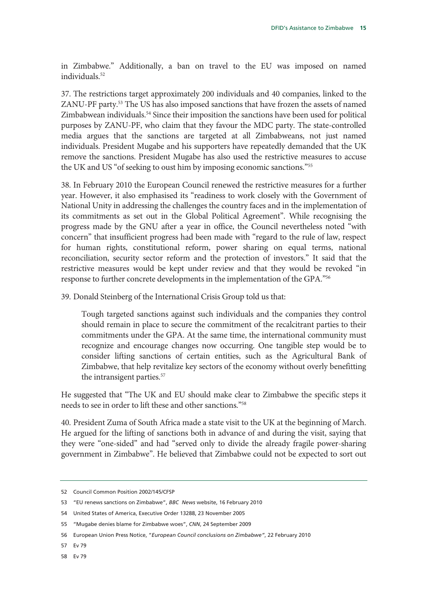in Zimbabwe." Additionally, a ban on travel to the EU was imposed on named individuals.52

37. The restrictions target approximately 200 individuals and 40 companies, linked to the ZANU-PF party.53 The US has also imposed sanctions that have frozen the assets of named Zimbabwean individuals.<sup>54</sup> Since their imposition the sanctions have been used for political purposes by ZANU-PF, who claim that they favour the MDC party. The state-controlled media argues that the sanctions are targeted at all Zimbabweans, not just named individuals. President Mugabe and his supporters have repeatedly demanded that the UK remove the sanctions. President Mugabe has also used the restrictive measures to accuse the UK and US "of seeking to oust him by imposing economic sanctions."55

38. In February 2010 the European Council renewed the restrictive measures for a further year. However, it also emphasised its "readiness to work closely with the Government of National Unity in addressing the challenges the country faces and in the implementation of its commitments as set out in the Global Political Agreement". While recognising the progress made by the GNU after a year in office, the Council nevertheless noted "with concern" that insufficient progress had been made with "regard to the rule of law, respect for human rights, constitutional reform, power sharing on equal terms, national reconciliation, security sector reform and the protection of investors." It said that the restrictive measures would be kept under review and that they would be revoked "in response to further concrete developments in the implementation of the GPA."56

39. Donald Steinberg of the International Crisis Group told us that:

Tough targeted sanctions against such individuals and the companies they control should remain in place to secure the commitment of the recalcitrant parties to their commitments under the GPA. At the same time, the international community must recognize and encourage changes now occurring. One tangible step would be to consider lifting sanctions of certain entities, such as the Agricultural Bank of Zimbabwe, that help revitalize key sectors of the economy without overly benefitting the intransigent parties.<sup>57</sup>

He suggested that "The UK and EU should make clear to Zimbabwe the specific steps it needs to see in order to lift these and other sanctions."58

40. President Zuma of South Africa made a state visit to the UK at the beginning of March. He argued for the lifting of sanctions both in advance of and during the visit, saying that they were "one-sided" and had "served only to divide the already fragile power-sharing government in Zimbabwe". He believed that Zimbabwe could not be expected to sort out

- 57 Ev 79
- 58 Ev 79

<sup>52</sup> Council Common Position 2002/145/CFSP

<sup>53 &</sup>quot;EU renews sanctions on Zimbabwe", *BBC News* website, 16 February 2010

<sup>54</sup> United States of America, Executive Order 13288, 23 November 2005

<sup>55 &</sup>quot;Mugabe denies blame for Zimbabwe woes", *CNN*, 24 September 2009

<sup>56</sup> European Union Press Notice, "*European Council conclusions on Zimbabwe"*, 22 February 2010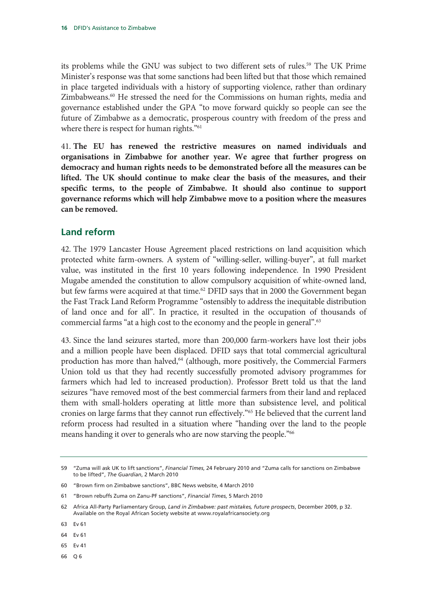its problems while the GNU was subject to two different sets of rules.<sup>59</sup> The UK Prime Minister's response was that some sanctions had been lifted but that those which remained in place targeted individuals with a history of supporting violence, rather than ordinary Zimbabweans.60 He stressed the need for the Commissions on human rights, media and governance established under the GPA "to move forward quickly so people can see the future of Zimbabwe as a democratic, prosperous country with freedom of the press and where there is respect for human rights."<sup>61</sup>

41. **The EU has renewed the restrictive measures on named individuals and organisations in Zimbabwe for another year. We agree that further progress on democracy and human rights needs to be demonstrated before all the measures can be lifted. The UK should continue to make clear the basis of the measures, and their specific terms, to the people of Zimbabwe. It should also continue to support governance reforms which will help Zimbabwe move to a position where the measures can be removed.** 

### **Land reform**

42. The 1979 Lancaster House Agreement placed restrictions on land acquisition which protected white farm-owners. A system of "willing-seller, willing-buyer", at full market value, was instituted in the first 10 years following independence. In 1990 President Mugabe amended the constitution to allow compulsory acquisition of white-owned land, but few farms were acquired at that time.<sup>62</sup> DFID says that in 2000 the Government began the Fast Track Land Reform Programme "ostensibly to address the inequitable distribution of land once and for all". In practice, it resulted in the occupation of thousands of commercial farms "at a high cost to the economy and the people in general".63

43. Since the land seizures started, more than 200,000 farm-workers have lost their jobs and a million people have been displaced. DFID says that total commercial agricultural production has more than halved,<sup>64</sup> (although, more positively, the Commercial Farmers Union told us that they had recently successfully promoted advisory programmes for farmers which had led to increased production). Professor Brett told us that the land seizures "have removed most of the best commercial farmers from their land and replaced them with small-holders operating at little more than subsistence level, and political cronies on large farms that they cannot run effectively."65 He believed that the current land reform process had resulted in a situation where "handing over the land to the people means handing it over to generals who are now starving the people."<sup>66</sup>

- 65 Ev 41
- 66 Q 6

<sup>59 &</sup>quot;Zuma will ask UK to lift sanctions", *Financial Times*, 24 February 2010 and "Zuma calls for sanctions on Zimbabwe to be lifted", *The Guardian*, 2 March 2010

<sup>60 &</sup>quot;Brown firm on Zimbabwe sanctions", BBC News website, 4 March 2010

<sup>61 &</sup>quot;Brown rebuffs Zuma on Zanu-PF sanctions", *Financial Times*, 5 March 2010

<sup>62</sup> Africa All-Party Parliamentary Group, *Land in Zimbabwe: past mistakes, future prospects*, December 2009, p 32. Available on the Royal African Society website at www.royalafricansociety.org

<sup>63</sup> Ev 61

<sup>64</sup> Ev 61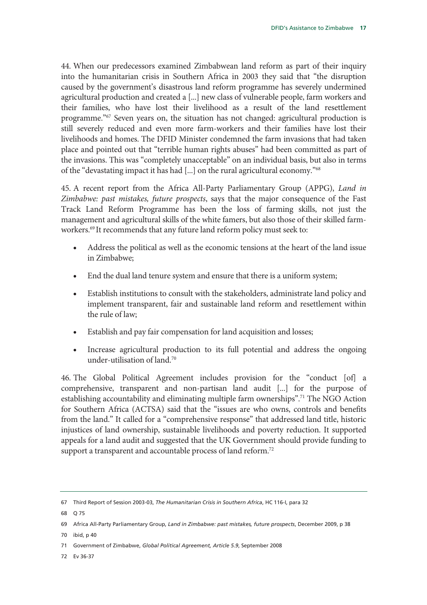44. When our predecessors examined Zimbabwean land reform as part of their inquiry into the humanitarian crisis in Southern Africa in 2003 they said that "the disruption caused by the government's disastrous land reform programme has severely undermined agricultural production and created a [...] new class of vulnerable people, farm workers and their families, who have lost their livelihood as a result of the land resettlement programme."67 Seven years on, the situation has not changed: agricultural production is still severely reduced and even more farm-workers and their families have lost their livelihoods and homes. The DFID Minister condemned the farm invasions that had taken place and pointed out that "terrible human rights abuses" had been committed as part of the invasions. This was "completely unacceptable" on an individual basis, but also in terms of the "devastating impact it has had [...] on the rural agricultural economy."68

45. A recent report from the Africa All-Party Parliamentary Group (APPG), *Land in Zimbabwe: past mistakes, future prospects*, says that the major consequence of the Fast Track Land Reform Programme has been the loss of farming skills, not just the management and agricultural skills of the white famers, but also those of their skilled farmworkers.<sup>69</sup> It recommends that any future land reform policy must seek to:

- Address the political as well as the economic tensions at the heart of the land issue in Zimbabwe;
- End the dual land tenure system and ensure that there is a uniform system;
- Establish institutions to consult with the stakeholders, administrate land policy and implement transparent, fair and sustainable land reform and resettlement within the rule of law;
- Establish and pay fair compensation for land acquisition and losses;
- Increase agricultural production to its full potential and address the ongoing under-utilisation of land.70

46. The Global Political Agreement includes provision for the "conduct [of] a comprehensive, transparent and non-partisan land audit [...] for the purpose of establishing accountability and eliminating multiple farm ownerships".71 The NGO Action for Southern Africa (ACTSA) said that the "issues are who owns, controls and benefits from the land." It called for a "comprehensive response" that addressed land title, historic injustices of land ownership, sustainable livelihoods and poverty reduction. It supported appeals for a land audit and suggested that the UK Government should provide funding to support a transparent and accountable process of land reform.<sup>72</sup>

70 ibid, p 40

72 Ev 36-37

<sup>67</sup> Third Report of Session 2003-03, *The Humanitarian Crisis in Southern Africa*, HC 116-I, para 32

<sup>68</sup> Q 75

<sup>69</sup> Africa All-Party Parliamentary Group, *Land in Zimbabwe: past mistakes, future prospects*, December 2009, p 38

<sup>71</sup> Government of Zimbabwe, *Global Political Agreement, Article 5.9*, September 2008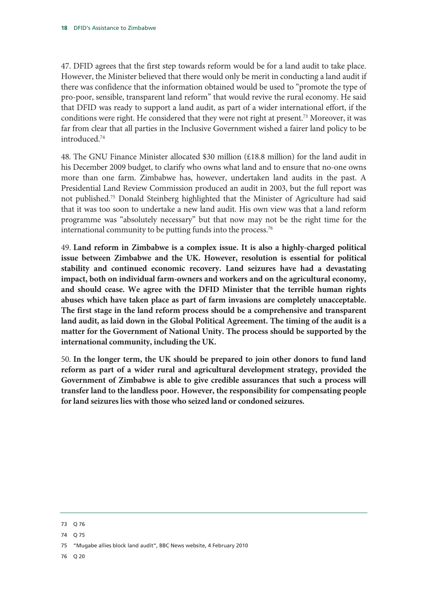47. DFID agrees that the first step towards reform would be for a land audit to take place. However, the Minister believed that there would only be merit in conducting a land audit if there was confidence that the information obtained would be used to "promote the type of pro-poor, sensible, transparent land reform" that would revive the rural economy. He said that DFID was ready to support a land audit, as part of a wider international effort, if the conditions were right. He considered that they were not right at present.73 Moreover, it was far from clear that all parties in the Inclusive Government wished a fairer land policy to be introduced.74

48. The GNU Finance Minister allocated \$30 million (£18.8 million) for the land audit in his December 2009 budget, to clarify who owns what land and to ensure that no-one owns more than one farm. Zimbabwe has, however, undertaken land audits in the past. A Presidential Land Review Commission produced an audit in 2003, but the full report was not published.75 Donald Steinberg highlighted that the Minister of Agriculture had said that it was too soon to undertake a new land audit. His own view was that a land reform programme was "absolutely necessary" but that now may not be the right time for the international community to be putting funds into the process.<sup>76</sup>

49. **Land reform in Zimbabwe is a complex issue. It is also a highly-charged political issue between Zimbabwe and the UK. However, resolution is essential for political stability and continued economic recovery. Land seizures have had a devastating impact, both on individual farm-owners and workers and on the agricultural economy, and should cease. We agree with the DFID Minister that the terrible human rights abuses which have taken place as part of farm invasions are completely unacceptable. The first stage in the land reform process should be a comprehensive and transparent land audit, as laid down in the Global Political Agreement. The timing of the audit is a matter for the Government of National Unity. The process should be supported by the international community, including the UK.**

50. **In the longer term, the UK should be prepared to join other donors to fund land reform as part of a wider rural and agricultural development strategy, provided the Government of Zimbabwe is able to give credible assurances that such a process will transfer land to the landless poor. However, the responsibility for compensating people for land seizures lies with those who seized land or condoned seizures.** 

74 Q 75

76 Q 20

<sup>73</sup> Q 76

<sup>75 &</sup>quot;Mugabe allies block land audit", BBC News website, 4 February 2010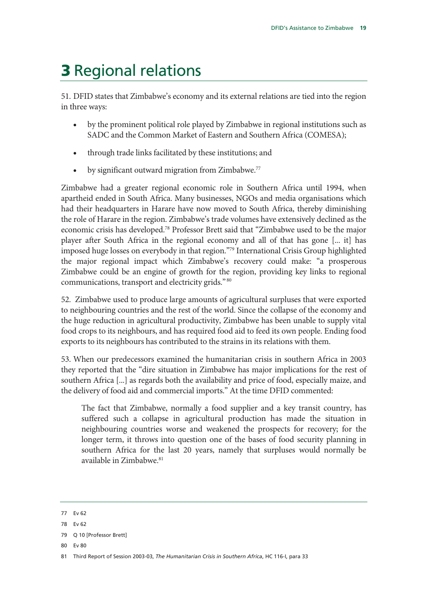## 3 Regional relations

51. DFID states that Zimbabwe's economy and its external relations are tied into the region in three ways:

- by the prominent political role played by Zimbabwe in regional institutions such as SADC and the Common Market of Eastern and Southern Africa (COMESA);
- through trade links facilitated by these institutions; and
- by significant outward migration from Zimbabwe.<sup>77</sup>

Zimbabwe had a greater regional economic role in Southern Africa until 1994, when apartheid ended in South Africa. Many businesses, NGOs and media organisations which had their headquarters in Harare have now moved to South Africa, thereby diminishing the role of Harare in the region. Zimbabwe's trade volumes have extensively declined as the economic crisis has developed.78 Professor Brett said that "Zimbabwe used to be the major player after South Africa in the regional economy and all of that has gone [... it] has imposed huge losses on everybody in that region."79 International Crisis Group highlighted the major regional impact which Zimbabwe's recovery could make: "a prosperous Zimbabwe could be an engine of growth for the region, providing key links to regional communications, transport and electricity grids." 80

52. Zimbabwe used to produce large amounts of agricultural surpluses that were exported to neighbouring countries and the rest of the world. Since the collapse of the economy and the huge reduction in agricultural productivity, Zimbabwe has been unable to supply vital food crops to its neighbours, and has required food aid to feed its own people. Ending food exports to its neighbours has contributed to the strains in its relations with them.

53. When our predecessors examined the humanitarian crisis in southern Africa in 2003 they reported that the "dire situation in Zimbabwe has major implications for the rest of southern Africa [...] as regards both the availability and price of food, especially maize, and the delivery of food aid and commercial imports." At the time DFID commented:

The fact that Zimbabwe, normally a food supplier and a key transit country, has suffered such a collapse in agricultural production has made the situation in neighbouring countries worse and weakened the prospects for recovery; for the longer term, it throws into question one of the bases of food security planning in southern Africa for the last 20 years, namely that surpluses would normally be available in Zimbabwe.<sup>81</sup>

<sup>77</sup> Ev 62

<sup>78</sup> Ev 62

<sup>79</sup> Q 10 [Professor Brett]

<sup>81</sup> Third Report of Session 2003-03, *The Humanitarian Crisis in Southern Africa*, HC 116-I, para 33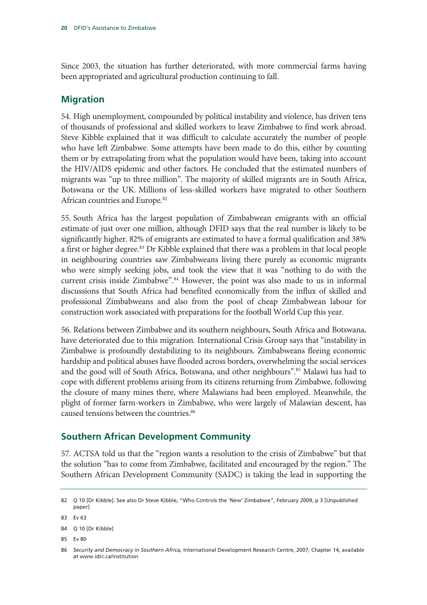Since 2003, the situation has further deteriorated, with more commercial farms having been appropriated and agricultural production continuing to fall.

### **Migration**

54. High unemployment, compounded by political instability and violence, has driven tens of thousands of professional and skilled workers to leave Zimbabwe to find work abroad. Steve Kibble explained that it was difficult to calculate accurately the number of people who have left Zimbabwe. Some attempts have been made to do this, either by counting them or by extrapolating from what the population would have been, taking into account the HIV/AIDS epidemic and other factors. He concluded that the estimated numbers of migrants was "up to three million". The majority of skilled migrants are in South Africa, Botswana or the UK. Millions of less-skilled workers have migrated to other Southern African countries and Europe.<sup>82</sup>

55. South Africa has the largest population of Zimbabwean emigrants with an official estimate of just over one million, although DFID says that the real number is likely to be significantly higher. 82% of emigrants are estimated to have a formal qualification and 38% a first or higher degree.<sup>83</sup> Dr Kibble explained that there was a problem in that local people in neighbouring countries saw Zimbabweans living there purely as economic migrants who were simply seeking jobs, and took the view that it was "nothing to do with the current crisis inside Zimbabwe".<sup>84</sup> However, the point was also made to us in informal discussions that South Africa had benefited economically from the influx of skilled and professional Zimbabweans and also from the pool of cheap Zimbabwean labour for construction work associated with preparations for the football World Cup this year.

56. Relations between Zimbabwe and its southern neighbours, South Africa and Botswana, have deteriorated due to this migration. International Crisis Group says that "instability in Zimbabwe is profoundly destabilizing to its neighbours. Zimbabweans fleeing economic hardship and political abuses have flooded across borders, overwhelming the social services and the good will of South Africa, Botswana, and other neighbours".85 Malawi has had to cope with different problems arising from its citizens returning from Zimbabwe, following the closure of many mines there, where Malawians had been employed. Meanwhile, the plight of former farm-workers in Zimbabwe, who were largely of Malawian descent, has caused tensions between the countries.<sup>86</sup>

### **Southern African Development Community**

57. ACTSA told us that the "region wants a resolution to the crisis of Zimbabwe" but that the solution "has to come from Zimbabwe, facilitated and encouraged by the region." The Southern African Development Community (SADC) is taking the lead in supporting the

<sup>82</sup> Q 10 [Dr Kibble]. See also Dr Steve Kibble, "Who Controls the 'New' Zimbabwe", February 2009, p 3 [Unpublished paper]

<sup>83</sup> Ev 63

<sup>84</sup> Q 10 [Dr Kibble]

<sup>86</sup> *Security and Democracy in Southern Africa,* International Development Research Centre, 2007, Chapter 14, available at www.idrc.ca/institution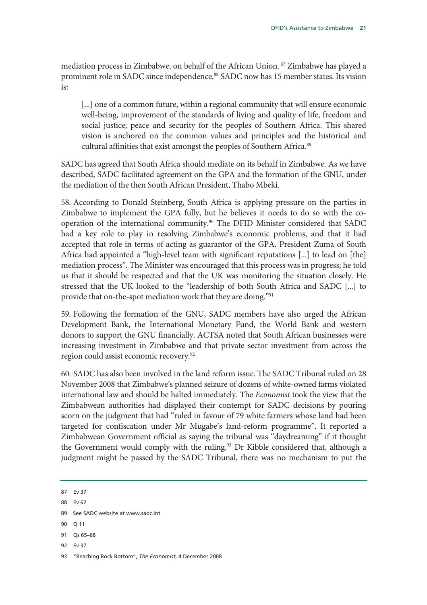mediation process in Zimbabwe, on behalf of the African Union. 87 Zimbabwe has played a prominent role in SADC since independence.<sup>88</sup> SADC now has 15 member states. Its vision is:

[...] one of a common future, within a regional community that will ensure economic well-being, improvement of the standards of living and quality of life, freedom and social justice; peace and security for the peoples of Southern Africa. This shared vision is anchored on the common values and principles and the historical and cultural affinities that exist amongst the peoples of Southern Africa.89

SADC has agreed that South Africa should mediate on its behalf in Zimbabwe. As we have described, SADC facilitated agreement on the GPA and the formation of the GNU, under the mediation of the then South African President, Thabo Mbeki.

58. According to Donald Steinberg, South Africa is applying pressure on the parties in Zimbabwe to implement the GPA fully, but he believes it needs to do so with the cooperation of the international community.<sup>90</sup> The DFID Minister considered that SADC had a key role to play in resolving Zimbabwe's economic problems, and that it had accepted that role in terms of acting as guarantor of the GPA. President Zuma of South Africa had appointed a "high-level team with significant reputations [...] to lead on [the] mediation process". The Minister was encouraged that this process was in progress; he told us that it should be respected and that the UK was monitoring the situation closely. He stressed that the UK looked to the "leadership of both South Africa and SADC [...] to provide that on-the-spot mediation work that they are doing."91

59. Following the formation of the GNU, SADC members have also urged the African Development Bank, the International Monetary Fund, the World Bank and western donors to support the GNU financially. ACTSA noted that South African businesses were increasing investment in Zimbabwe and that private sector investment from across the region could assist economic recovery.92

60. SADC has also been involved in the land reform issue. The SADC Tribunal ruled on 28 November 2008 that Zimbabwe's planned seizure of dozens of white-owned farms violated international law and should be halted immediately. The *Economist* took the view that the Zimbabwean authorities had displayed their contempt for SADC decisions by pouring scorn on the judgment that had "ruled in favour of 79 white farmers whose land had been targeted for confiscation under Mr Mugabe's land-reform programme". It reported a Zimbabwean Government official as saying the tribunal was "daydreaming" if it thought the Government would comply with the ruling.<sup>93</sup> Dr Kibble considered that, although a judgment might be passed by the SADC Tribunal, there was no mechanism to put the

87 Ev 37

88 Ev 62

90 Q 11

<sup>89</sup> See SADC website at www.sadc.int

<sup>91</sup> Qs 65–68

<sup>93 &</sup>quot;Reaching Rock Bottom", *The Economist*, 4 December 2008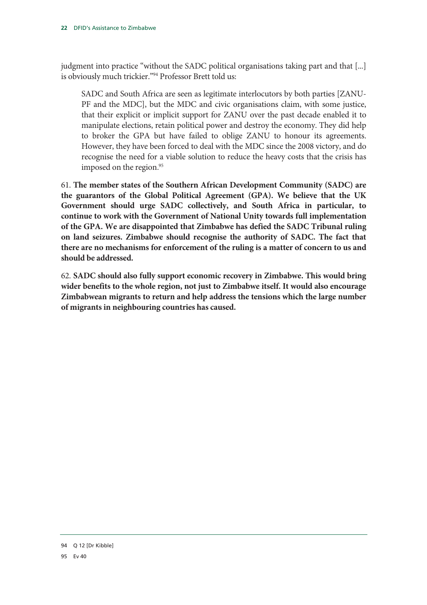judgment into practice "without the SADC political organisations taking part and that [...] is obviously much trickier."94 Professor Brett told us:

SADC and South Africa are seen as legitimate interlocutors by both parties [ZANU-PF and the MDC], but the MDC and civic organisations claim, with some justice, that their explicit or implicit support for ZANU over the past decade enabled it to manipulate elections, retain political power and destroy the economy. They did help to broker the GPA but have failed to oblige ZANU to honour its agreements. However, they have been forced to deal with the MDC since the 2008 victory, and do recognise the need for a viable solution to reduce the heavy costs that the crisis has imposed on the region. 95

61. **The member states of the Southern African Development Community (SADC) are the guarantors of the Global Political Agreement (GPA). We believe that the UK Government should urge SADC collectively, and South Africa in particular, to continue to work with the Government of National Unity towards full implementation of the GPA. We are disappointed that Zimbabwe has defied the SADC Tribunal ruling on land seizures. Zimbabwe should recognise the authority of SADC. The fact that there are no mechanisms for enforcement of the ruling is a matter of concern to us and should be addressed.** 

62. **SADC should also fully support economic recovery in Zimbabwe. This would bring wider benefits to the whole region, not just to Zimbabwe itself. It would also encourage Zimbabwean migrants to return and help address the tensions which the large number of migrants in neighbouring countries has caused.**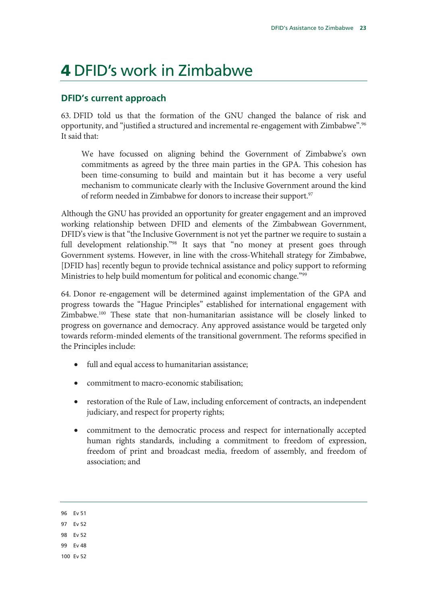### 4 DFID's work in Zimbabwe

### **DFID's current approach**

63. DFID told us that the formation of the GNU changed the balance of risk and opportunity, and "justified a structured and incremental re-engagement with Zimbabwe".<sup>96</sup> It said that:

We have focussed on aligning behind the Government of Zimbabwe's own commitments as agreed by the three main parties in the GPA. This cohesion has been time-consuming to build and maintain but it has become a very useful mechanism to communicate clearly with the Inclusive Government around the kind of reform needed in Zimbabwe for donors to increase their support.<sup>97</sup>

Although the GNU has provided an opportunity for greater engagement and an improved working relationship between DFID and elements of the Zimbabwean Government, DFID's view is that "the Inclusive Government is not yet the partner we require to sustain a full development relationship."<sup>98</sup> It says that "no money at present goes through Government systems. However, in line with the cross-Whitehall strategy for Zimbabwe, [DFID has] recently begun to provide technical assistance and policy support to reforming Ministries to help build momentum for political and economic change."<sup>99</sup>

64. Donor re-engagement will be determined against implementation of the GPA and progress towards the "Hague Principles" established for international engagement with Zimbabwe.100 These state that non-humanitarian assistance will be closely linked to progress on governance and democracy. Any approved assistance would be targeted only towards reform-minded elements of the transitional government. The reforms specified in the Principles include:

- full and equal access to humanitarian assistance;
- commitment to macro-economic stabilisation;
- restoration of the Rule of Law, including enforcement of contracts, an independent judiciary, and respect for property rights;
- commitment to the democratic process and respect for internationally accepted human rights standards, including a commitment to freedom of expression, freedom of print and broadcast media, freedom of assembly, and freedom of association; and

- 98 Ev 52
- 99 Ev 48
- 100 Ev 52

<sup>96</sup> Ev 51

<sup>97</sup> Ev 52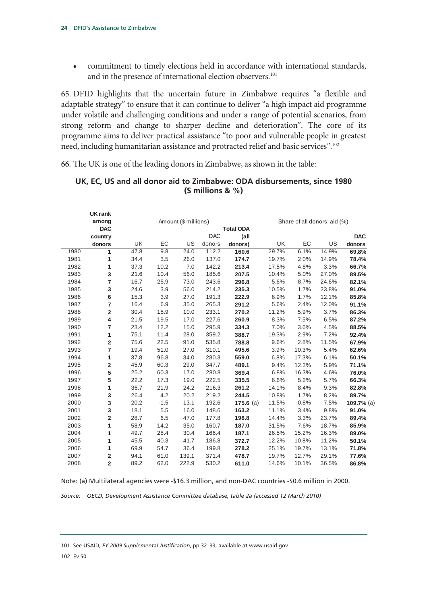• commitment to timely elections held in accordance with international standards, and in the presence of international election observers.<sup>101</sup>

65. DFID highlights that the uncertain future in Zimbabwe requires "a flexible and adaptable strategy" to ensure that it can continue to deliver "a high impact aid programme under volatile and challenging conditions and under a range of potential scenarios, from strong reform and change to sharper decline and deterioration". The core of its programme aims to deliver practical assistance "to poor and vulnerable people in greatest need, including humanitarian assistance and protracted relief and basic services".102

66. The UK is one of the leading donors in Zimbabwe, as shown in the table:

|            | <b>UK rank</b><br>among |           |        | Amount (\$ millions) |            |                  |           | Share of all donors' aid (%) |       |            |
|------------|-------------------------|-----------|--------|----------------------|------------|------------------|-----------|------------------------------|-------|------------|
| <b>DAC</b> |                         |           |        |                      |            | <b>Total ODA</b> |           |                              |       |            |
|            | country                 |           |        |                      | <b>DAC</b> | (all             |           |                              |       | <b>DAC</b> |
|            | donors                  | <b>UK</b> | EC     | US                   | donors     | donors)          | <b>UK</b> | EC                           | US    | donors     |
| 1980       | 1                       | 47.8      | 9.8    | 24.0                 | 112.2      | 160.6            | 29.7%     | 6.1%                         | 14.9% | 69.8%      |
| 1981       | 1                       | 34.4      | 3.5    | 26.0                 | 137.0      | 174.7            | 19.7%     | 2.0%                         | 14.9% | 78.4%      |
| 1982       | 1                       | 37.3      | 10.2   | 7.0                  | 142.2      | 213.4            | 17.5%     | 4.8%                         | 3.3%  | 66.7%      |
| 1983       | 3                       | 21.6      | 10.4   | 56.0                 | 185.6      | 207.5            | 10.4%     | 5.0%                         | 27.0% | 89.5%      |
| 1984       | $\overline{7}$          | 16.7      | 25.9   | 73.0                 | 243.6      | 296.8            | 5.6%      | 8.7%                         | 24.6% | 82.1%      |
| 1985       | 3                       | 24.6      | 3.9    | 56.0                 | 214.2      | 235.3            | 10.5%     | 1.7%                         | 23.8% | 91.0%      |
| 1986       | 6                       | 15.3      | 3.9    | 27.0                 | 191.3      | 222.9            | 6.9%      | 1.7%                         | 12.1% | 85.8%      |
| 1987       | $\overline{7}$          | 16.4      | 6.9    | 35.0                 | 265.3      | 291.2            | 5.6%      | 2.4%                         | 12.0% | 91.1%      |
| 1988       | $\mathbf 2$             | 30.4      | 15.9   | 10.0                 | 233.1      | 270.2            | 11.2%     | 5.9%                         | 3.7%  | 86.3%      |
| 1989       | 4                       | 21.5      | 19.5   | 17.0                 | 227.6      | 260.9            | 8.3%      | 7.5%                         | 6.5%  | 87.2%      |
| 1990       | 7                       | 23.4      | 12.2   | 15.0                 | 295.9      | 334.3            | 7.0%      | 3.6%                         | 4.5%  | 88.5%      |
| 1991       | 1                       | 75.1      | 11.4   | 28.0                 | 359.2      | 388.7            | 19.3%     | 2.9%                         | 7.2%  | 92.4%      |
| 1992       | $\overline{\mathbf{2}}$ | 75.6      | 22.5   | 91.0                 | 535.8      | 788.8            | 9.6%      | 2.8%                         | 11.5% | 67.9%      |
| 1993       | $\overline{7}$          | 19.4      | 51.0   | 27.0                 | 310.1      | 495.6            | 3.9%      | 10.3%                        | 5.4%  | 62.6%      |
| 1994       | 1                       | 37.8      | 96.8   | 34.0                 | 280.3      | 559.0            | 6.8%      | 17.3%                        | 6.1%  | 50.1%      |
| 1995       | $\overline{\mathbf{2}}$ | 45.9      | 60.3   | 29.0                 | 347.7      | 489.1            | 9.4%      | 12.3%                        | 5.9%  | 71.1%      |
| 1996       | 5                       | 25.2      | 60.3   | 17.0                 | 280.8      | 369.4            | 6.8%      | 16.3%                        | 4.6%  | 76.0%      |
| 1997       | 5                       | 22.2      | 17.3   | 19.0                 | 222.5      | 335.5            | 6.6%      | 5.2%                         | 5.7%  | 66.3%      |
| 1998       | 1                       | 36.7      | 21.9   | 24.2                 | 216.3      | 261.2            | 14.1%     | 8.4%                         | 9.3%  | 82.8%      |
| 1999       | 3                       | 26.4      | 4.2    | 20.2                 | 219.2      | 244.5            | 10.8%     | 1.7%                         | 8.2%  | 89.7%      |
| 2000       | 3                       | 20.2      | $-1.5$ | 13.1                 | 192.6      | $175.6$ (a)      | 11.5%     | $-0.8%$                      | 7.5%  | 109.7% (a) |
| 2001       | 3                       | 18.1      | 5.5    | 16.0                 | 148.6      | 163.2            | 11.1%     | 3.4%                         | 9.8%  | 91.0%      |
| 2002       | $\overline{\mathbf{2}}$ | 28.7      | 6.5    | 47.0                 | 177.8      | 198.8            | 14.4%     | 3.3%                         | 23.7% | 89.4%      |
| 2003       | 1                       | 58.9      | 14.2   | 35.0                 | 160.7      | 187.0            | 31.5%     | 7.6%                         | 18.7% | 85.9%      |
| 2004       | 1                       | 49.7      | 28.4   | 30.4                 | 166.4      | 187.1            | 26.5%     | 15.2%                        | 16.3% | 89.0%      |
| 2005       | 1                       | 45.5      | 40.3   | 41.7                 | 186.8      | 372.7            | 12.2%     | 10.8%                        | 11.2% | 50.1%      |
| 2006       | 1                       | 69.9      | 54.7   | 36.4                 | 199.8      | 278.2            | 25.1%     | 19.7%                        | 13.1% | 71.8%      |
| 2007       | 2                       | 94.1      | 61.0   | 139.1                | 371.4      | 478.7            | 19.7%     | 12.7%                        | 29.1% | 77.6%      |
| 2008       | $\overline{2}$          | 89.2      | 62.0   | 222.9                | 530.2      | 611.0            | 14.6%     | 10.1%                        | 36.5% | 86.8%      |

### **UK, EC, US and all donor aid to Zimbabwe: ODA disbursements, since 1980 (\$ millions & %)**

Note: (a) Multilateral agencies were -\$16.3 million, and non-DAC countries -\$0.6 million in 2000.

*Source: OECD, Development Assistance Committee database, table 2a (accessed 12 March 2010)* 

101 See USAID, *FY 2009 Supplemental Justification*, pp 32–33, available at www.usaid.gov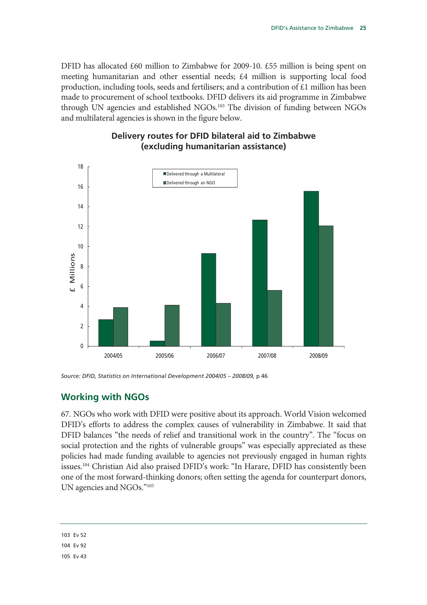DFID has allocated £60 million to Zimbabwe for 2009-10. £55 million is being spent on meeting humanitarian and other essential needs; £4 million is supporting local food production, including tools, seeds and fertilisers; and a contribution of £1 million has been made to procurement of school textbooks. DFID delivers its aid programme in Zimbabwe through UN agencies and established NGOs.<sup>103</sup> The division of funding between NGOs and multilateral agencies is shown in the figure below.

### **Delivery routes for DFID bilateral aid to Zimbabwe (excluding humanitarian assistance)**



*Source: DFID, Statistics on International Development 2004/05 – 2008/09,* p 46

### **Working with NGOs**

67. NGOs who work with DFID were positive about its approach. World Vision welcomed DFID's efforts to address the complex causes of vulnerability in Zimbabwe. It said that DFID balances "the needs of relief and transitional work in the country". The "focus on social protection and the rights of vulnerable groups" was especially appreciated as these policies had made funding available to agencies not previously engaged in human rights issues.104 Christian Aid also praised DFID's work: "In Harare, DFID has consistently been one of the most forward-thinking donors; often setting the agenda for counterpart donors, UN agencies and NGOs."105

104 Ev 92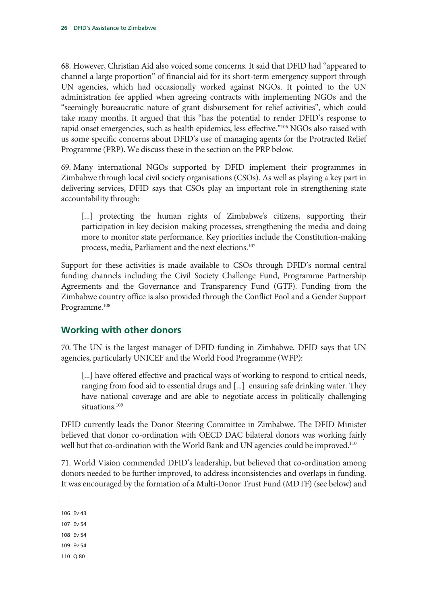68. However, Christian Aid also voiced some concerns. It said that DFID had "appeared to channel a large proportion" of financial aid for its short-term emergency support through UN agencies, which had occasionally worked against NGOs. It pointed to the UN administration fee applied when agreeing contracts with implementing NGOs and the "seemingly bureaucratic nature of grant disbursement for relief activities", which could take many months. It argued that this "has the potential to render DFID's response to rapid onset emergencies, such as health epidemics, less effective."<sup>106</sup> NGOs also raised with us some specific concerns about DFID's use of managing agents for the Protracted Relief Programme (PRP). We discuss these in the section on the PRP below.

69. Many international NGOs supported by DFID implement their programmes in Zimbabwe through local civil society organisations (CSOs). As well as playing a key part in delivering services, DFID says that CSOs play an important role in strengthening state accountability through:

[...] protecting the human rights of Zimbabwe's citizens, supporting their participation in key decision making processes, strengthening the media and doing more to monitor state performance. Key priorities include the Constitution-making process, media, Parliament and the next elections.107

Support for these activities is made available to CSOs through DFID's normal central funding channels including the Civil Society Challenge Fund, Programme Partnership Agreements and the Governance and Transparency Fund (GTF). Funding from the Zimbabwe country office is also provided through the Conflict Pool and a Gender Support Programme.<sup>108</sup>

### **Working with other donors**

70. The UN is the largest manager of DFID funding in Zimbabwe. DFID says that UN agencies, particularly UNICEF and the World Food Programme (WFP):

[...] have offered effective and practical ways of working to respond to critical needs, ranging from food aid to essential drugs and [...] ensuring safe drinking water. They have national coverage and are able to negotiate access in politically challenging situations.<sup>109</sup>

DFID currently leads the Donor Steering Committee in Zimbabwe. The DFID Minister believed that donor co-ordination with OECD DAC bilateral donors was working fairly well but that co-ordination with the World Bank and UN agencies could be improved.<sup>110</sup>

71. World Vision commended DFID's leadership, but believed that co-ordination among donors needed to be further improved, to address inconsistencies and overlaps in funding. It was encouraged by the formation of a Multi-Donor Trust Fund (MDTF) (see below) and

106 Ev 43

107 Ev 54

- 108 Ev 54
- 109 Ev 54

110 Q 80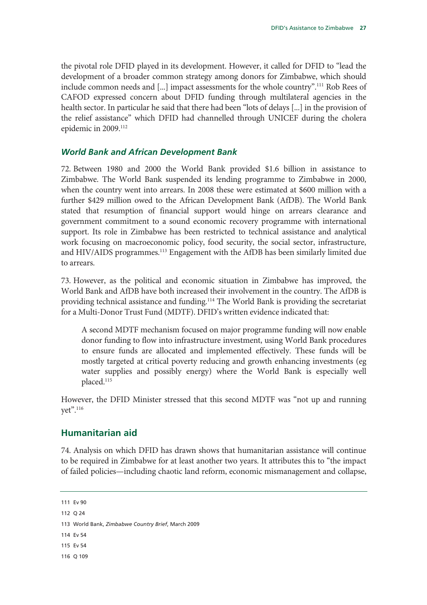the pivotal role DFID played in its development. However, it called for DFID to "lead the development of a broader common strategy among donors for Zimbabwe, which should include common needs and [...] impact assessments for the whole country".111 Rob Rees of CAFOD expressed concern about DFID funding through multilateral agencies in the health sector. In particular he said that there had been "lots of delays [...] in the provision of the relief assistance" which DFID had channelled through UNICEF during the cholera epidemic in 2009.<sup>112</sup>

### *World Bank and African Development Bank*

72. Between 1980 and 2000 the World Bank provided \$1.6 billion in assistance to Zimbabwe. The World Bank suspended its lending programme to Zimbabwe in 2000, when the country went into arrears. In 2008 these were estimated at \$600 million with a further \$429 million owed to the African Development Bank (AfDB). The World Bank stated that resumption of financial support would hinge on arrears clearance and government commitment to a sound economic recovery programme with international support. Its role in Zimbabwe has been restricted to technical assistance and analytical work focusing on macroeconomic policy, food security, the social sector, infrastructure, and HIV/AIDS programmes.<sup>113</sup> Engagement with the AfDB has been similarly limited due to arrears.

73. However, as the political and economic situation in Zimbabwe has improved, the World Bank and AfDB have both increased their involvement in the country. The AfDB is providing technical assistance and funding.114 The World Bank is providing the secretariat for a Multi-Donor Trust Fund (MDTF). DFID's written evidence indicated that:

A second MDTF mechanism focused on major programme funding will now enable donor funding to flow into infrastructure investment, using World Bank procedures to ensure funds are allocated and implemented effectively. These funds will be mostly targeted at critical poverty reducing and growth enhancing investments (eg water supplies and possibly energy) where the World Bank is especially well placed.115

However, the DFID Minister stressed that this second MDTF was "not up and running yet".116

### **Humanitarian aid**

74. Analysis on which DFID has drawn shows that humanitarian assistance will continue to be required in Zimbabwe for at least another two years. It attributes this to "the impact of failed policies—including chaotic land reform, economic mismanagement and collapse,

114 Ev 54

116 Q 109

<sup>111</sup> Ev 90

<sup>112</sup> Q 24

<sup>113</sup> World Bank, *Zimbabwe Country Brief*, March 2009

<sup>115</sup> Ev 54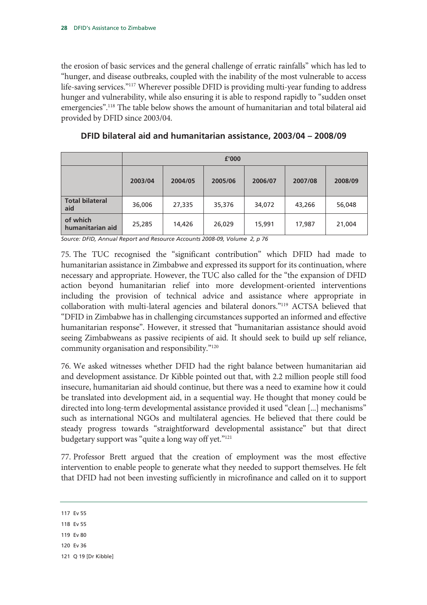the erosion of basic services and the general challenge of erratic rainfalls" which has led to "hunger, and disease outbreaks, coupled with the inability of the most vulnerable to access life-saving services."117 Wherever possible DFID is providing multi-year funding to address hunger and vulnerability, while also ensuring it is able to respond rapidly to "sudden onset emergencies".<sup>118</sup> The table below shows the amount of humanitarian and total bilateral aid provided by DFID since 2003/04.

|                               | £'000   |         |         |         |         |         |  |
|-------------------------------|---------|---------|---------|---------|---------|---------|--|
|                               | 2003/04 | 2004/05 | 2005/06 | 2006/07 | 2007/08 | 2008/09 |  |
| <b>Total bilateral</b><br>aid | 36,006  | 27,335  | 35,376  | 34,072  | 43,266  | 56,048  |  |
| of which<br>humanitarian aid  | 25,285  | 14,426  | 26,029  | 15,991  | 17,987  | 21,004  |  |

**DFID bilateral aid and humanitarian assistance, 2003/04 – 2008/09** 

*Source: DFID, Annual Report and Resource Accounts 2008-09, Volume 2, p 76* 

75. The TUC recognised the "significant contribution" which DFID had made to humanitarian assistance in Zimbabwe and expressed its support for its continuation, where necessary and appropriate. However, the TUC also called for the "the expansion of DFID action beyond humanitarian relief into more development-oriented interventions including the provision of technical advice and assistance where appropriate in collaboration with multi-lateral agencies and bilateral donors."119 ACTSA believed that "DFID in Zimbabwe has in challenging circumstances supported an informed and effective humanitarian response". However, it stressed that "humanitarian assistance should avoid seeing Zimbabweans as passive recipients of aid. It should seek to build up self reliance, community organisation and responsibility."120

76. We asked witnesses whether DFID had the right balance between humanitarian aid and development assistance. Dr Kibble pointed out that, with 2.2 million people still food insecure, humanitarian aid should continue, but there was a need to examine how it could be translated into development aid, in a sequential way. He thought that money could be directed into long-term developmental assistance provided it used "clean [...] mechanisms" such as international NGOs and multilateral agencies. He believed that there could be steady progress towards "straightforward developmental assistance" but that direct budgetary support was "quite a long way off yet."<sup>121</sup>

77. Professor Brett argued that the creation of employment was the most effective intervention to enable people to generate what they needed to support themselves. He felt that DFID had not been investing sufficiently in microfinance and called on it to support

- 119 Ev 80
- 120 Ev 36
- 121 Q 19 [Dr Kibble]

<sup>117</sup> Ev 55

<sup>118</sup> Ev 55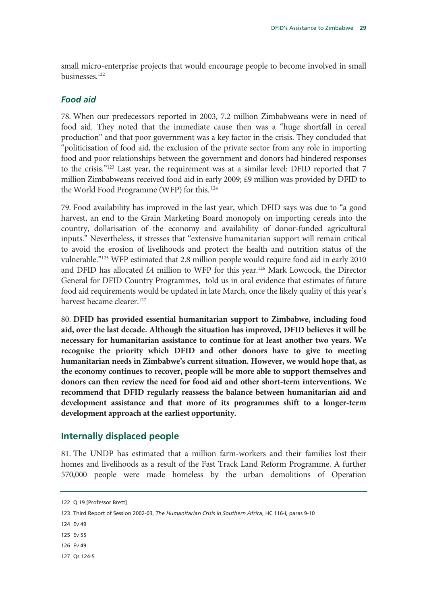small micro-enterprise projects that would encourage people to become involved in small businesses.122

### *Food aid*

78. When our predecessors reported in 2003, 7.2 million Zimbabweans were in need of food aid. They noted that the immediate cause then was a "huge shortfall in cereal production" and that poor government was a key factor in the crisis. They concluded that "politicisation of food aid, the exclusion of the private sector from any role in importing food and poor relationships between the government and donors had hindered responses to the crisis."123 Last year, the requirement was at a similar level: DFID reported that 7 million Zimbabweans received food aid in early 2009; £9 million was provided by DFID to the World Food Programme (WFP) for this. 124

79. Food availability has improved in the last year, which DFID says was due to "a good harvest, an end to the Grain Marketing Board monopoly on importing cereals into the country, dollarisation of the economy and availability of donor-funded agricultural inputs." Nevertheless, it stresses that "extensive humanitarian support will remain critical to avoid the erosion of livelihoods and protect the health and nutrition status of the vulnerable."125 WFP estimated that 2.8 million people would require food aid in early 2010 and DFID has allocated  $£4$  million to WFP for this year.<sup>126</sup> Mark Lowcock, the Director General for DFID Country Programmes, told us in oral evidence that estimates of future food aid requirements would be updated in late March, once the likely quality of this year's harvest became clearer.<sup>127</sup>

80. **DFID has provided essential humanitarian support to Zimbabwe, including food aid, over the last decade. Although the situation has improved, DFID believes it will be necessary for humanitarian assistance to continue for at least another two years. We recognise the priority which DFID and other donors have to give to meeting humanitarian needs in Zimbabwe's current situation. However, we would hope that, as the economy continues to recover, people will be more able to support themselves and donors can then review the need for food aid and other short-term interventions. We recommend that DFID regularly reassess the balance between humanitarian aid and development assistance and that more of its programmes shift to a longer-term development approach at the earliest opportunity.** 

### **Internally displaced people**

81. The UNDP has estimated that a million farm-workers and their families lost their homes and livelihoods as a result of the Fast Track Land Reform Programme. A further 570,000 people were made homeless by the urban demolitions of Operation

- 125 Ev 55
- 126 Ev 49

<sup>122</sup> Q 19 [Professor Brett]

<sup>123</sup> Third Report of Session 2002-03, *The Humanitarian Crisis in Southern Africa*, HC 116-I, paras 9-10

<sup>124</sup> Ev 49

<sup>127</sup> Qs 124-5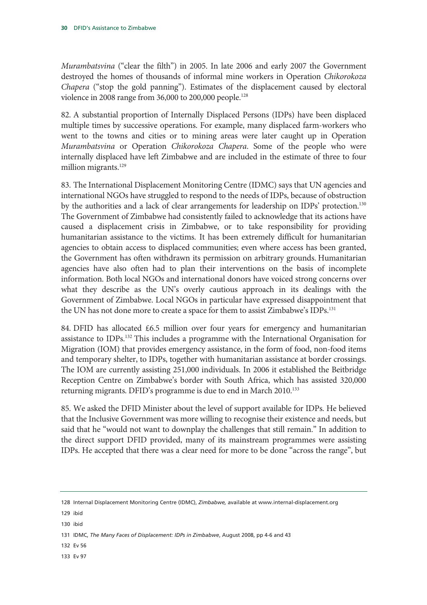*Murambatsvina* ("clear the filth") in 2005. In late 2006 and early 2007 the Government destroyed the homes of thousands of informal mine workers in Operation *Chikorokoza Chapera* ("stop the gold panning"). Estimates of the displacement caused by electoral violence in 2008 range from 36,000 to 200,000 people.128

82. A substantial proportion of Internally Displaced Persons (IDPs) have been displaced multiple times by successive operations. For example, many displaced farm-workers who went to the towns and cities or to mining areas were later caught up in Operation *Murambatsvina* or Operation *Chikorokoza Chapera*. Some of the people who were internally displaced have left Zimbabwe and are included in the estimate of three to four million migrants.<sup>129</sup>

83. The International Displacement Monitoring Centre (IDMC) says that UN agencies and international NGOs have struggled to respond to the needs of IDPs, because of obstruction by the authorities and a lack of clear arrangements for leadership on IDPs' protection.<sup>130</sup> The Government of Zimbabwe had consistently failed to acknowledge that its actions have caused a displacement crisis in Zimbabwe, or to take responsibility for providing humanitarian assistance to the victims. It has been extremely difficult for humanitarian agencies to obtain access to displaced communities; even where access has been granted, the Government has often withdrawn its permission on arbitrary grounds. Humanitarian agencies have also often had to plan their interventions on the basis of incomplete information. Both local NGOs and international donors have voiced strong concerns over what they describe as the UN's overly cautious approach in its dealings with the Government of Zimbabwe. Local NGOs in particular have expressed disappointment that the UN has not done more to create a space for them to assist Zimbabwe's IDPs.131

84. DFID has allocated  $\epsilon$ 6.5 million over four years for emergency and humanitarian assistance to IDPs.132 This includes a programme with the International Organisation for Migration (IOM) that provides emergency assistance, in the form of food, non-food items and temporary shelter, to IDPs, together with humanitarian assistance at border crossings. The IOM are currently assisting 251,000 individuals. In 2006 it established the Beitbridge Reception Centre on Zimbabwe's border with South Africa, which has assisted 320,000 returning migrants. DFID's programme is due to end in March 2010.<sup>133</sup>

85. We asked the DFID Minister about the level of support available for IDPs. He believed that the Inclusive Government was more willing to recognise their existence and needs, but said that he "would not want to downplay the challenges that still remain." In addition to the direct support DFID provided, many of its mainstream programmes were assisting IDPs. He accepted that there was a clear need for more to be done "across the range", but

- 132 Ev 56
- 133 Ev 97

<sup>128</sup> Internal Displacement Monitoring Centre (IDMC), *Zimbabwe,* available at www.internal-displacement.org

<sup>129</sup> ibid

<sup>130</sup> ibid

<sup>131</sup> IDMC, *The Many Faces of Displacement: IDPs in Zimbabwe*, August 2008, pp 4-6 and 43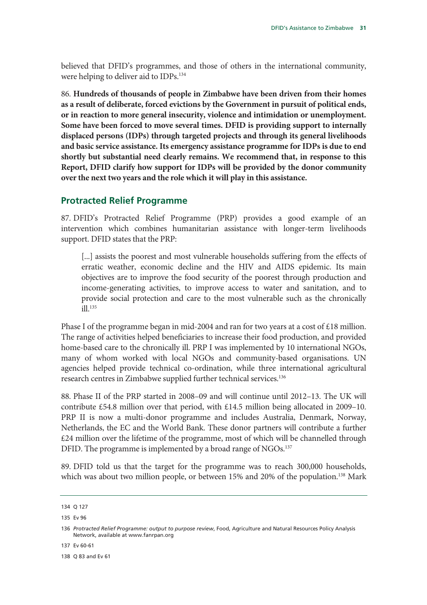believed that DFID's programmes, and those of others in the international community, were helping to deliver aid to IDPs.<sup>134</sup>

86. **Hundreds of thousands of people in Zimbabwe have been driven from their homes as a result of deliberate, forced evictions by the Government in pursuit of political ends, or in reaction to more general insecurity, violence and intimidation or unemployment. Some have been forced to move several times. DFID is providing support to internally displaced persons (IDPs) through targeted projects and through its general livelihoods and basic service assistance. Its emergency assistance programme for IDPs is due to end shortly but substantial need clearly remains. We recommend that, in response to this Report, DFID clarify how support for IDPs will be provided by the donor community over the next two years and the role which it will play in this assistance.** 

### **Protracted Relief Programme**

87. DFID's Protracted Relief Programme (PRP) provides a good example of an intervention which combines humanitarian assistance with longer-term livelihoods support. DFID states that the PRP:

[...] assists the poorest and most vulnerable households suffering from the effects of erratic weather, economic decline and the HIV and AIDS epidemic. Its main objectives are to improve the food security of the poorest through production and income-generating activities, to improve access to water and sanitation, and to provide social protection and care to the most vulnerable such as the chronically ill.135

Phase I of the programme began in mid-2004 and ran for two years at a cost of £18 million. The range of activities helped beneficiaries to increase their food production, and provided home-based care to the chronically ill. PRP I was implemented by 10 international NGOs, many of whom worked with local NGOs and community-based organisations. UN agencies helped provide technical co-ordination, while three international agricultural research centres in Zimbabwe supplied further technical services.136

88. Phase II of the PRP started in 2008–09 and will continue until 2012–13. The UK will contribute £54.8 million over that period, with £14.5 million being allocated in 2009–10. PRP II is now a multi-donor programme and includes Australia, Denmark, Norway, Netherlands, the EC and the World Bank. These donor partners will contribute a further £24 million over the lifetime of the programme, most of which will be channelled through DFID. The programme is implemented by a broad range of NGOs.<sup>137</sup>

89. DFID told us that the target for the programme was to reach 300,000 households, which was about two million people, or between 15% and 20% of the population.<sup>138</sup> Mark

137 Ev 60-61

138 Q 83 and Ev 61

<sup>134</sup> Q 127

<sup>135</sup> Ev 96

<sup>136</sup> *Protracted Relief Programme: output to purpose review*, Food, Agriculture and Natural Resources Policy Analysis Network, available at www.fanrpan.org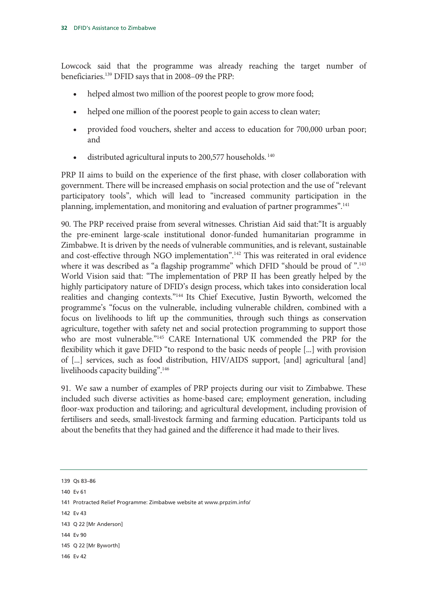Lowcock said that the programme was already reaching the target number of beneficiaries.139 DFID says that in 2008–09 the PRP:

- helped almost two million of the poorest people to grow more food;
- helped one million of the poorest people to gain access to clean water;
- provided food vouchers, shelter and access to education for 700,000 urban poor; and
- distributed agricultural inputs to 200,577 households.  $140$

PRP II aims to build on the experience of the first phase, with closer collaboration with government. There will be increased emphasis on social protection and the use of "relevant participatory tools", which will lead to "increased community participation in the planning, implementation, and monitoring and evaluation of partner programmes".141

90. The PRP received praise from several witnesses. Christian Aid said that:"It is arguably the pre-eminent large-scale institutional donor-funded humanitarian programme in Zimbabwe. It is driven by the needs of vulnerable communities, and is relevant, sustainable and cost-effective through NGO implementation".142 This was reiterated in oral evidence where it was described as "a flagship programme" which DFID "should be proud of ".<sup>143</sup> World Vision said that: "The implementation of PRP II has been greatly helped by the highly participatory nature of DFID's design process, which takes into consideration local realities and changing contexts."144 Its Chief Executive, Justin Byworth, welcomed the programme's "focus on the vulnerable, including vulnerable children, combined with a focus on livelihoods to lift up the communities, through such things as conservation agriculture, together with safety net and social protection programming to support those who are most vulnerable."145 CARE International UK commended the PRP for the flexibility which it gave DFID "to respond to the basic needs of people [...] with provision of [...] services, such as food distribution, HIV/AIDS support, [and] agricultural [and] livelihoods capacity building".146

91. We saw a number of examples of PRP projects during our visit to Zimbabwe. These included such diverse activities as home-based care; employment generation, including floor-wax production and tailoring; and agricultural development, including provision of fertilisers and seeds, small-livestock farming and farming education. Participants told us about the benefits that they had gained and the difference it had made to their lives.

- 140 Ev 61
- 141 Protracted Relief Programme: Zimbabwe website at www.prpzim.info/
- 142 Ev 43

<sup>139</sup> Qs 83–86

<sup>143</sup> Q 22 [Mr Anderson]

<sup>145</sup> Q 22 [Mr Byworth]

<sup>146</sup> Ev 42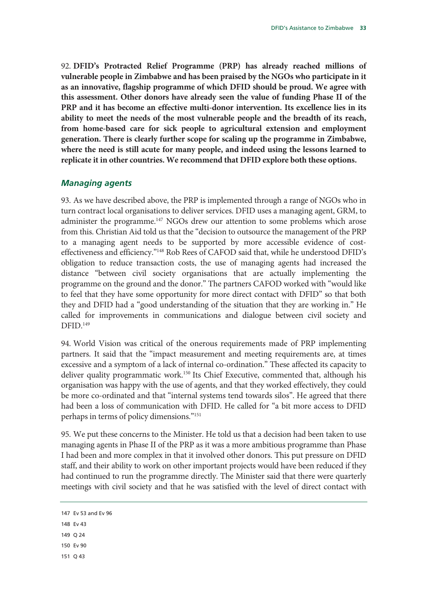92. **DFID's Protracted Relief Programme (PRP) has already reached millions of vulnerable people in Zimbabwe and has been praised by the NGOs who participate in it as an innovative, flagship programme of which DFID should be proud. We agree with this assessment. Other donors have already seen the value of funding Phase II of the PRP and it has become an effective multi-donor intervention. Its excellence lies in its ability to meet the needs of the most vulnerable people and the breadth of its reach, from home-based care for sick people to agricultural extension and employment generation. There is clearly further scope for scaling up the programme in Zimbabwe, where the need is still acute for many people, and indeed using the lessons learned to replicate it in other countries. We recommend that DFID explore both these options.** 

### *Managing agents*

93. As we have described above, the PRP is implemented through a range of NGOs who in turn contract local organisations to deliver services. DFID uses a managing agent, GRM, to administer the programme.<sup>147</sup> NGOs drew our attention to some problems which arose from this. Christian Aid told us that the "decision to outsource the management of the PRP to a managing agent needs to be supported by more accessible evidence of costeffectiveness and efficiency."148 Rob Rees of CAFOD said that, while he understood DFID's obligation to reduce transaction costs, the use of managing agents had increased the distance "between civil society organisations that are actually implementing the programme on the ground and the donor." The partners CAFOD worked with "would like to feel that they have some opportunity for more direct contact with DFID" so that both they and DFID had a "good understanding of the situation that they are working in." He called for improvements in communications and dialogue between civil society and DFID.<sup>149</sup>

94. World Vision was critical of the onerous requirements made of PRP implementing partners. It said that the "impact measurement and meeting requirements are, at times excessive and a symptom of a lack of internal co-ordination." These affected its capacity to deliver quality programmatic work.<sup>150</sup> Its Chief Executive, commented that, although his organisation was happy with the use of agents, and that they worked effectively, they could be more co-ordinated and that "internal systems tend towards silos". He agreed that there had been a loss of communication with DFID. He called for "a bit more access to DFID perhaps in terms of policy dimensions."151

95. We put these concerns to the Minister. He told us that a decision had been taken to use managing agents in Phase II of the PRP as it was a more ambitious programme than Phase I had been and more complex in that it involved other donors. This put pressure on DFID staff, and their ability to work on other important projects would have been reduced if they had continued to run the programme directly. The Minister said that there were quarterly meetings with civil society and that he was satisfied with the level of direct contact with

- 149 Q 24
- 150 Ev 90
- 151 Q 43

<sup>147</sup> Ev 53 and Ev 96

<sup>148</sup> Ev 43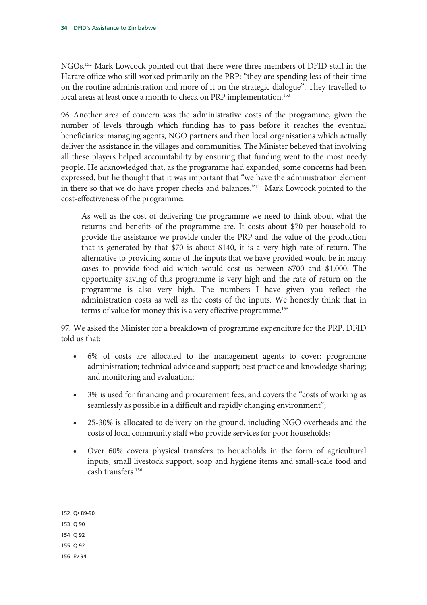NGOs.152 Mark Lowcock pointed out that there were three members of DFID staff in the Harare office who still worked primarily on the PRP: "they are spending less of their time on the routine administration and more of it on the strategic dialogue". They travelled to local areas at least once a month to check on PRP implementation.<sup>153</sup>

96. Another area of concern was the administrative costs of the programme, given the number of levels through which funding has to pass before it reaches the eventual beneficiaries: managing agents, NGO partners and then local organisations which actually deliver the assistance in the villages and communities. The Minister believed that involving all these players helped accountability by ensuring that funding went to the most needy people. He acknowledged that, as the programme had expanded, some concerns had been expressed, but he thought that it was important that "we have the administration element in there so that we do have proper checks and balances."154 Mark Lowcock pointed to the cost-effectiveness of the programme:

As well as the cost of delivering the programme we need to think about what the returns and benefits of the programme are. It costs about \$70 per household to provide the assistance we provide under the PRP and the value of the production that is generated by that \$70 is about \$140, it is a very high rate of return. The alternative to providing some of the inputs that we have provided would be in many cases to provide food aid which would cost us between \$700 and \$1,000. The opportunity saving of this programme is very high and the rate of return on the programme is also very high. The numbers I have given you reflect the administration costs as well as the costs of the inputs. We honestly think that in terms of value for money this is a very effective programme.155

97. We asked the Minister for a breakdown of programme expenditure for the PRP. DFID told us that:

- 6% of costs are allocated to the management agents to cover: programme administration; technical advice and support; best practice and knowledge sharing; and monitoring and evaluation;
- 3% is used for financing and procurement fees, and covers the "costs of working as seamlessly as possible in a difficult and rapidly changing environment";
- 25-30% is allocated to delivery on the ground, including NGO overheads and the costs of local community staff who provide services for poor households;
- Over 60% covers physical transfers to households in the form of agricultural inputs, small livestock support, soap and hygiene items and small-scale food and cash transfers.156

152 Qs 89-90

- 153 Q 90
- 154  $\Omega$  92
- 155 Q 92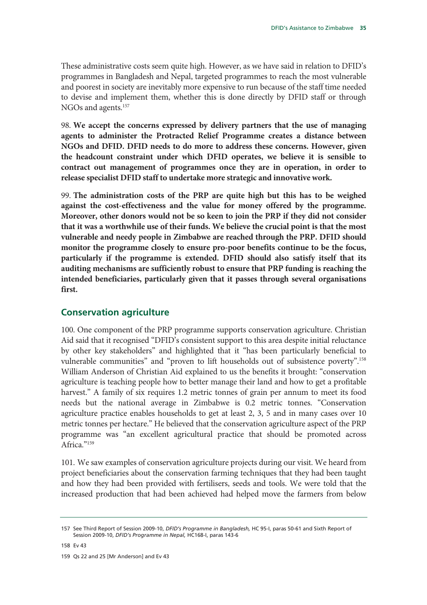These administrative costs seem quite high. However, as we have said in relation to DFID's programmes in Bangladesh and Nepal, targeted programmes to reach the most vulnerable and poorest in society are inevitably more expensive to run because of the staff time needed to devise and implement them, whether this is done directly by DFID staff or through NGOs and agents.<sup>157</sup>

98. **We accept the concerns expressed by delivery partners that the use of managing agents to administer the Protracted Relief Programme creates a distance between NGOs and DFID. DFID needs to do more to address these concerns. However, given the headcount constraint under which DFID operates, we believe it is sensible to contract out management of programmes once they are in operation, in order to release specialist DFID staff to undertake more strategic and innovative work.** 

99. **The administration costs of the PRP are quite high but this has to be weighed against the cost-effectiveness and the value for money offered by the programme. Moreover, other donors would not be so keen to join the PRP if they did not consider that it was a worthwhile use of their funds. We believe the crucial point is that the most vulnerable and needy people in Zimbabwe are reached through the PRP. DFID should monitor the programme closely to ensure pro-poor benefits continue to be the focus, particularly if the programme is extended. DFID should also satisfy itself that its auditing mechanisms are sufficiently robust to ensure that PRP funding is reaching the intended beneficiaries, particularly given that it passes through several organisations first.** 

### **Conservation agriculture**

100. One component of the PRP programme supports conservation agriculture. Christian Aid said that it recognised "DFID's consistent support to this area despite initial reluctance by other key stakeholders" and highlighted that it "has been particularly beneficial to vulnerable communities" and "proven to lift households out of subsistence poverty".158 William Anderson of Christian Aid explained to us the benefits it brought: "conservation agriculture is teaching people how to better manage their land and how to get a profitable harvest." A family of six requires 1.2 metric tonnes of grain per annum to meet its food needs but the national average in Zimbabwe is 0.2 metric tonnes. "Conservation agriculture practice enables households to get at least 2, 3, 5 and in many cases over 10 metric tonnes per hectare." He believed that the conservation agriculture aspect of the PRP programme was "an excellent agricultural practice that should be promoted across Africa."<sup>159</sup>

101. We saw examples of conservation agriculture projects during our visit. We heard from project beneficiaries about the conservation farming techniques that they had been taught and how they had been provided with fertilisers, seeds and tools. We were told that the increased production that had been achieved had helped move the farmers from below

158 Ev 43

159 Qs 22 and 25 [Mr Anderson] and Ev 43

<sup>157</sup> See Third Report of Session 2009-10, *DFID's Programme in Bangladesh,* HC 95-I, paras 50-61 and Sixth Report of Session 2009-10, *DFID's Programme in Nepal,* HC168-I, paras 143-6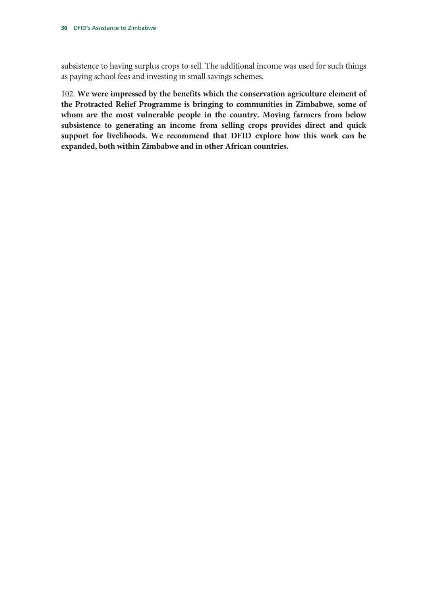subsistence to having surplus crops to sell. The additional income was used for such things as paying school fees and investing in small savings schemes.

102. **We were impressed by the benefits which the conservation agriculture element of the Protracted Relief Programme is bringing to communities in Zimbabwe, some of whom are the most vulnerable people in the country. Moving farmers from below subsistence to generating an income from selling crops provides direct and quick support for livelihoods. We recommend that DFID explore how this work can be expanded, both within Zimbabwe and in other African countries.**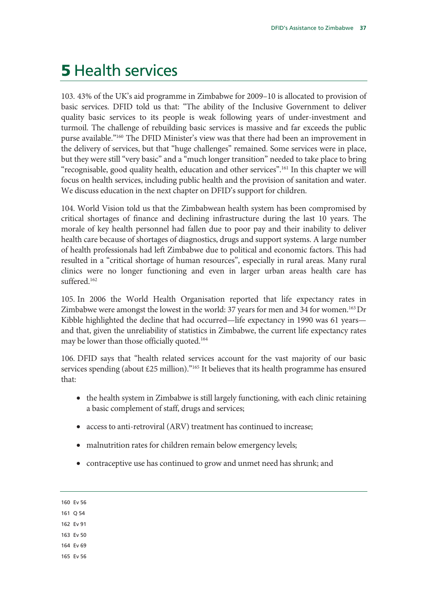### **5 Health services**

103. 43% of the UK's aid programme in Zimbabwe for 2009–10 is allocated to provision of basic services. DFID told us that: "The ability of the Inclusive Government to deliver quality basic services to its people is weak following years of under-investment and turmoil. The challenge of rebuilding basic services is massive and far exceeds the public purse available."160 The DFID Minister's view was that there had been an improvement in the delivery of services, but that "huge challenges" remained. Some services were in place, but they were still "very basic" and a "much longer transition" needed to take place to bring "recognisable, good quality health, education and other services".161 In this chapter we will focus on health services, including public health and the provision of sanitation and water. We discuss education in the next chapter on DFID's support for children.

104. World Vision told us that the Zimbabwean health system has been compromised by critical shortages of finance and declining infrastructure during the last 10 years. The morale of key health personnel had fallen due to poor pay and their inability to deliver health care because of shortages of diagnostics, drugs and support systems. A large number of health professionals had left Zimbabwe due to political and economic factors. This had resulted in a "critical shortage of human resources", especially in rural areas. Many rural clinics were no longer functioning and even in larger urban areas health care has suffered.<sup>162</sup>

105. In 2006 the World Health Organisation reported that life expectancy rates in Zimbabwe were amongst the lowest in the world: 37 years for men and 34 for women.<sup>163</sup> Dr Kibble highlighted the decline that had occurred—life expectancy in 1990 was 61 years and that, given the unreliability of statistics in Zimbabwe, the current life expectancy rates may be lower than those officially quoted.<sup>164</sup>

106. DFID says that "health related services account for the vast majority of our basic services spending (about  $£25$  million)."<sup>165</sup> It believes that its health programme has ensured that:

- the health system in Zimbabwe is still largely functioning, with each clinic retaining a basic complement of staff, drugs and services;
- access to anti-retroviral (ARV) treatment has continued to increase;
- malnutrition rates for children remain below emergency levels;
- contraceptive use has continued to grow and unmet need has shrunk; and

- 161 Q 54
- 162 Ev 91
- 163 Ev 50
- 164 Ev 69
- 165 Ev 56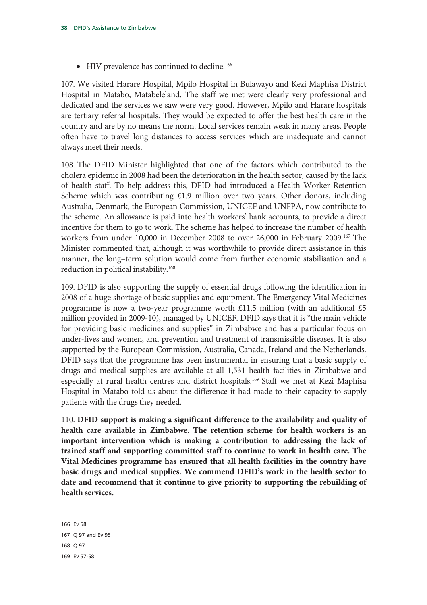• HIV prevalence has continued to decline.<sup>166</sup>

107. We visited Harare Hospital, Mpilo Hospital in Bulawayo and Kezi Maphisa District Hospital in Matabo, Matabeleland. The staff we met were clearly very professional and dedicated and the services we saw were very good. However, Mpilo and Harare hospitals are tertiary referral hospitals. They would be expected to offer the best health care in the country and are by no means the norm. Local services remain weak in many areas. People often have to travel long distances to access services which are inadequate and cannot always meet their needs.

108. The DFID Minister highlighted that one of the factors which contributed to the cholera epidemic in 2008 had been the deterioration in the health sector, caused by the lack of health staff. To help address this, DFID had introduced a Health Worker Retention Scheme which was contributing £1.9 million over two years. Other donors, including Australia, Denmark, the European Commission, UNICEF and UNFPA, now contribute to the scheme. An allowance is paid into health workers' bank accounts, to provide a direct incentive for them to go to work. The scheme has helped to increase the number of health workers from under 10,000 in December 2008 to over 26,000 in February 2009.<sup>167</sup> The Minister commented that, although it was worthwhile to provide direct assistance in this manner, the long–term solution would come from further economic stabilisation and a reduction in political instability.168

109. DFID is also supporting the supply of essential drugs following the identification in 2008 of a huge shortage of basic supplies and equipment. The Emergency Vital Medicines programme is now a two-year programme worth £11.5 million (with an additional £5 million provided in 2009-10), managed by UNICEF. DFID says that it is "the main vehicle for providing basic medicines and supplies" in Zimbabwe and has a particular focus on under-fives and women, and prevention and treatment of transmissible diseases. It is also supported by the European Commission, Australia, Canada, Ireland and the Netherlands. DFID says that the programme has been instrumental in ensuring that a basic supply of drugs and medical supplies are available at all 1,531 health facilities in Zimbabwe and especially at rural health centres and district hospitals.<sup>169</sup> Staff we met at Kezi Maphisa Hospital in Matabo told us about the difference it had made to their capacity to supply patients with the drugs they needed.

110. **DFID support is making a significant difference to the availability and quality of health care available in Zimbabwe. The retention scheme for health workers is an important intervention which is making a contribution to addressing the lack of trained staff and supporting committed staff to continue to work in health care. The Vital Medicines programme has ensured that all health facilities in the country have basic drugs and medical supplies. We commend DFID's work in the health sector to date and recommend that it continue to give priority to supporting the rebuilding of health services.** 

166 Ev 58 167 Q 97 and Ev 95 168 Q 97 169 Ev 57-58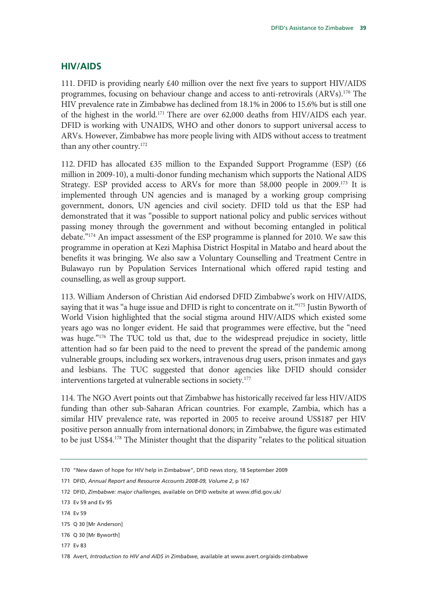### **HIV/AIDS**

111. DFID is providing nearly  $\text{\pounds}40$  million over the next five years to support HIV/AIDS programmes, focusing on behaviour change and access to anti-retrovirals (ARVs).170 The HIV prevalence rate in Zimbabwe has declined from 18.1% in 2006 to 15.6% but is still one of the highest in the world.171 There are over 62,000 deaths from HIV/AIDS each year. DFID is working with UNAIDS, WHO and other donors to support universal access to ARVs. However, Zimbabwe has more people living with AIDS without access to treatment than any other country.172

112. DFID has allocated £35 million to the Expanded Support Programme (ESP) (£6 million in 2009-10), a multi-donor funding mechanism which supports the National AIDS Strategy. ESP provided access to ARVs for more than 58,000 people in 2009.<sup>173</sup> It is implemented through UN agencies and is managed by a working group comprising government, donors, UN agencies and civil society. DFID told us that the ESP had demonstrated that it was "possible to support national policy and public services without passing money through the government and without becoming entangled in political debate."174 An impact assessment of the ESP programme is planned for 2010. We saw this programme in operation at Kezi Maphisa District Hospital in Matabo and heard about the benefits it was bringing. We also saw a Voluntary Counselling and Treatment Centre in Bulawayo run by Population Services International which offered rapid testing and counselling, as well as group support.

113. William Anderson of Christian Aid endorsed DFID Zimbabwe's work on HIV/AIDS, saying that it was "a huge issue and DFID is right to concentrate on it."<sup>175</sup> Justin Byworth of World Vision highlighted that the social stigma around HIV/AIDS which existed some years ago was no longer evident. He said that programmes were effective, but the "need was huge."176 The TUC told us that, due to the widespread prejudice in society, little attention had so far been paid to the need to prevent the spread of the pandemic among vulnerable groups, including sex workers, intravenous drug users, prison inmates and gays and lesbians. The TUC suggested that donor agencies like DFID should consider interventions targeted at vulnerable sections in society.177

114. The NGO Avert points out that Zimbabwe has historically received far less HIV/AIDS funding than other sub-Saharan African countries. For example, Zambia, which has a similar HIV prevalence rate, was reported in 2005 to receive around US\$187 per HIV positive person annually from international donors; in Zimbabwe, the figure was estimated to be just US\$4.<sup>178</sup> The Minister thought that the disparity "relates to the political situation

171 DFID, *Annual Report and Resource Accounts 2008-09, Volume 2*, p 167

- 173 Ev 59 and Ev 95
- 174 Ev 59
- 175 Q 30 [Mr Anderson]

<sup>170 &</sup>quot;New dawn of hope for HIV help in Zimbabwe", DFID news story, 18 September 2009

<sup>172</sup> DFID, *Zimbabwe: major challenges,* available on DFID website at www.dfid.gov.uk/

<sup>176</sup> Q 30 [Mr Byworth]

<sup>178</sup> Avert, *Introduction to HIV and AIDS in Zimbabwe*, available at www.avert.org/aids-zimbabwe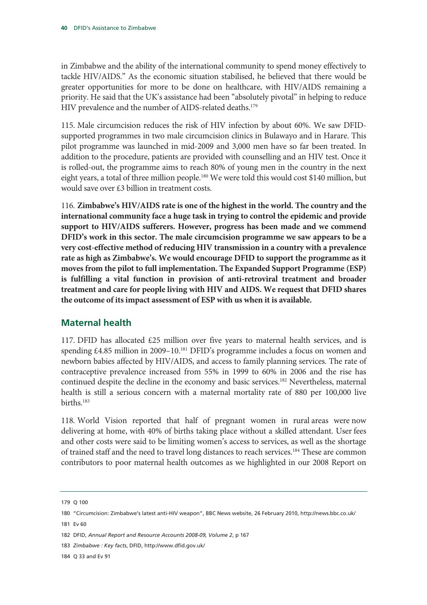in Zimbabwe and the ability of the international community to spend money effectively to tackle HIV/AIDS." As the economic situation stabilised, he believed that there would be greater opportunities for more to be done on healthcare, with HIV/AIDS remaining a priority. He said that the UK's assistance had been "absolutely pivotal" in helping to reduce HIV prevalence and the number of AIDS-related deaths.<sup>179</sup>

115. Male circumcision reduces the risk of HIV infection by about 60%. We saw DFIDsupported programmes in two male circumcision clinics in Bulawayo and in Harare. This pilot programme was launched in mid-2009 and 3,000 men have so far been treated. In addition to the procedure, patients are provided with counselling and an HIV test. Once it is rolled-out, the programme aims to reach 80% of young men in the country in the next eight years, a total of three million people.<sup>180</sup> We were told this would cost \$140 million, but would save over £3 billion in treatment costs.

116. **Zimbabwe's HIV/AIDS rate is one of the highest in the world. The country and the international community face a huge task in trying to control the epidemic and provide support to HIV/AIDS sufferers. However, progress has been made and we commend DFID's work in this sector. The male circumcision programme we saw appears to be a very cost-effective method of reducing HIV transmission in a country with a prevalence rate as high as Zimbabwe's. We would encourage DFID to support the programme as it moves from the pilot to full implementation. The Expanded Support Programme (ESP) is fulfilling a vital function in provision of anti-retroviral treatment and broader treatment and care for people living with HIV and AIDS. We request that DFID shares the outcome of its impact assessment of ESP with us when it is available.** 

### **Maternal health**

117. DFID has allocated £25 million over five years to maternal health services, and is spending  $\text{\pounds}4.85$  million in 2009–10.<sup>181</sup> DFID's programme includes a focus on women and newborn babies affected by HIV/AIDS, and access to family planning services. The rate of contraceptive prevalence increased from 55% in 1999 to 60% in 2006 and the rise has continued despite the decline in the economy and basic services.182 Nevertheless, maternal health is still a serious concern with a maternal mortality rate of 880 per 100,000 live births.183

118. World Vision reported that half of pregnant women in rural areas were now delivering at home, with 40% of births taking place without a skilled attendant. User fees and other costs were said to be limiting women's access to services, as well as the shortage of trained staff and the need to travel long distances to reach services.<sup>184</sup> These are common contributors to poor maternal health outcomes as we highlighted in our 2008 Report on

184 Q 33 and Ev 91

<sup>179</sup> Q 100

<sup>180 &</sup>quot;Circumcision: Zimbabwe's latest anti-HIV weapon", BBC News website, 26 February 2010, http://news.bbc.co.uk/

<sup>181</sup> Ev 60

<sup>182</sup> DFID, *Annual Report and Resource Accounts 2008-09, Volume 2*, p 167

<sup>183</sup> *Zimbabwe : Key facts*, DFID, http://www.dfid.gov.uk/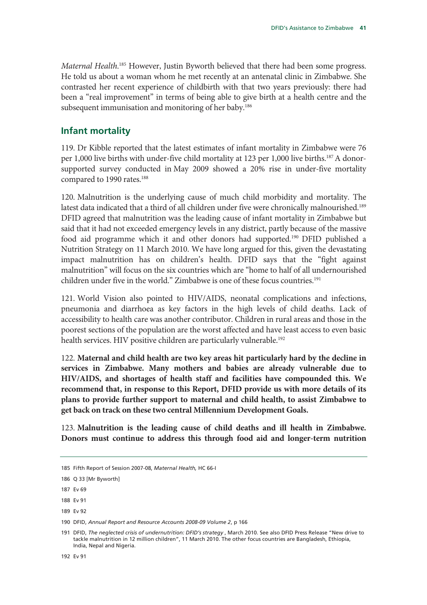Maternal Health.<sup>185</sup> However, Justin Byworth believed that there had been some progress. He told us about a woman whom he met recently at an antenatal clinic in Zimbabwe. She contrasted her recent experience of childbirth with that two years previously: there had been a "real improvement" in terms of being able to give birth at a health centre and the subsequent immunisation and monitoring of her baby.<sup>186</sup>

### **Infant mortality**

119. Dr Kibble reported that the latest estimates of infant mortality in Zimbabwe were 76 per 1,000 live births with under-five child mortality at 123 per 1,000 live births.187 A donorsupported survey conducted in May 2009 showed a 20% rise in under-five mortality compared to 1990 rates.<sup>188</sup>

120. Malnutrition is the underlying cause of much child morbidity and mortality. The latest data indicated that a third of all children under five were chronically malnourished.<sup>189</sup> DFID agreed that malnutrition was the leading cause of infant mortality in Zimbabwe but said that it had not exceeded emergency levels in any district, partly because of the massive food aid programme which it and other donors had supported.190 DFID published a Nutrition Strategy on 11 March 2010. We have long argued for this, given the devastating impact malnutrition has on children's health. DFID says that the "fight against malnutrition" will focus on the six countries which are "home to half of all undernourished children under five in the world." Zimbabwe is one of these focus countries.<sup>191</sup>

121. World Vision also pointed to HIV/AIDS, neonatal complications and infections, pneumonia and diarrhoea as key factors in the high levels of child deaths. Lack of accessibility to health care was another contributor. Children in rural areas and those in the poorest sections of the population are the worst affected and have least access to even basic health services. HIV positive children are particularly vulnerable.<sup>192</sup>

122. **Maternal and child health are two key areas hit particularly hard by the decline in services in Zimbabwe. Many mothers and babies are already vulnerable due to HIV/AIDS, and shortages of health staff and facilities have compounded this. We recommend that, in response to this Report, DFID provide us with more details of its plans to provide further support to maternal and child health, to assist Zimbabwe to get back on track on these two central Millennium Development Goals.** 

123. **Malnutrition is the leading cause of child deaths and ill health in Zimbabwe. Donors must continue to address this through food aid and longer-term nutrition** 

<sup>185</sup> Fifth Report of Session 2007-08, *Maternal Health,* HC 66-I

<sup>186</sup> Q 33 [Mr Byworth]

<sup>187</sup> Ev 69

<sup>188</sup> Ev 91

<sup>189</sup> Ev 92

<sup>190</sup> DFID, *Annual Report and Resource Accounts 2008-09 Volume 2*, p 166

<sup>191</sup> DFID, *The neglected crisis of undernutrition: DFID's strategy* , March 2010. See also DFID Press Release "New drive to tackle malnutrition in 12 million children", 11 March 2010. The other focus countries are Bangladesh, Ethiopia, India, Nepal and Nigeria.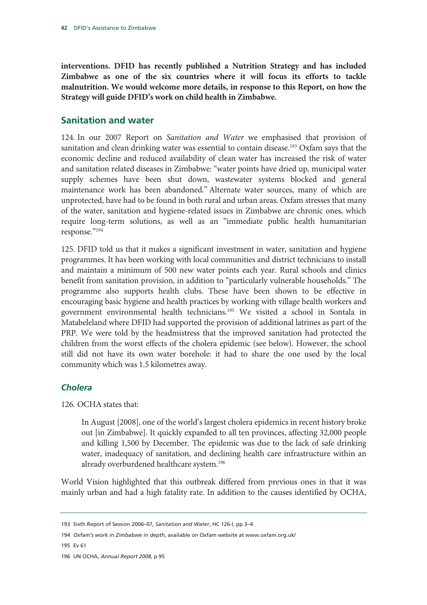**interventions. DFID has recently published a Nutrition Strategy and has included Zimbabwe as one of the six countries where it will focus its efforts to tackle malnutrition. We would welcome more details, in response to this Report, on how the Strategy will guide DFID's work on child health in Zimbabwe.** 

### **Sanitation and water**

124. In our 2007 Report on *Sanitation and Water* we emphasised that provision of sanitation and clean drinking water was essential to contain disease.<sup>193</sup> Oxfam says that the economic decline and reduced availability of clean water has increased the risk of water and sanitation related diseases in Zimbabwe: "water points have dried up, municipal water supply schemes have been shut down, wastewater systems blocked and general maintenance work has been abandoned." Alternate water sources, many of which are unprotected, have had to be found in both rural and urban areas. Oxfam stresses that many of the water, sanitation and hygiene-related issues in Zimbabwe are chronic ones, which require long-term solutions, as well as an "immediate public health humanitarian response."194

125. DFID told us that it makes a significant investment in water, sanitation and hygiene programmes. It has been working with local communities and district technicians to install and maintain a minimum of 500 new water points each year. Rural schools and clinics benefit from sanitation provision, in addition to "particularly vulnerable households." The programme also supports health clubs. These have been shown to be effective in encouraging basic hygiene and health practices by working with village health workers and government environmental health technicians.195 We visited a school in Sontala in Matabeleland where DFID had supported the provision of additional latrines as part of the PRP. We were told by the headmistress that the improved sanitation had protected the children from the worst effects of the cholera epidemic (see below). However, the school still did not have its own water borehole: it had to share the one used by the local community which was 1.5 kilometres away.

### *Cholera*

126. OCHA states that:

In August [2008], one of the world's largest cholera epidemics in recent history broke out [in Zimbabwe]. It quickly expanded to all ten provinces, affecting 32,000 people and killing 1,500 by December. The epidemic was due to the lack of safe drinking water, inadequacy of sanitation, and declining health care infrastructure within an already overburdened healthcare system.196

World Vision highlighted that this outbreak differed from previous ones in that it was mainly urban and had a high fatality rate. In addition to the causes identified by OCHA,

<sup>193</sup> Sixth Report of Session 2006–07, *Sanitation and Water*, HC 126-I, pp 3–4

<sup>194</sup> *Oxfam's work in Zimbabwe in depth*, available on Oxfam website at www.oxfam.org.uk/

<sup>196</sup> UN OCHA, *Annual Report 2008,* p 95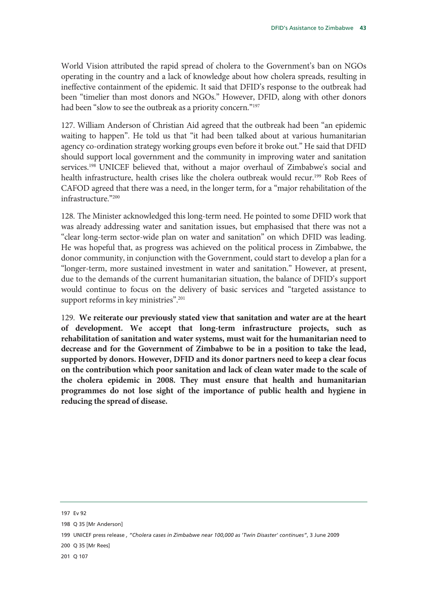World Vision attributed the rapid spread of cholera to the Government's ban on NGOs operating in the country and a lack of knowledge about how cholera spreads, resulting in ineffective containment of the epidemic. It said that DFID's response to the outbreak had been "timelier than most donors and NGOs." However, DFID, along with other donors had been "slow to see the outbreak as a priority concern."<sup>197</sup>

127. William Anderson of Christian Aid agreed that the outbreak had been "an epidemic waiting to happen". He told us that "it had been talked about at various humanitarian agency co-ordination strategy working groups even before it broke out." He said that DFID should support local government and the community in improving water and sanitation services.198 UNICEF believed that, without a major overhaul of Zimbabwe's social and health infrastructure, health crises like the cholera outbreak would recur.<sup>199</sup> Rob Rees of CAFOD agreed that there was a need, in the longer term, for a "major rehabilitation of the infrastructure."200

128. The Minister acknowledged this long-term need. He pointed to some DFID work that was already addressing water and sanitation issues, but emphasised that there was not a "clear long-term sector-wide plan on water and sanitation" on which DFID was leading. He was hopeful that, as progress was achieved on the political process in Zimbabwe, the donor community, in conjunction with the Government, could start to develop a plan for a "longer-term, more sustained investment in water and sanitation." However, at present, due to the demands of the current humanitarian situation, the balance of DFID's support would continue to focus on the delivery of basic services and "targeted assistance to support reforms in key ministries".<sup>201</sup>

129. **We reiterate our previously stated view that sanitation and water are at the heart of development. We accept that long-term infrastructure projects, such as rehabilitation of sanitation and water systems, must wait for the humanitarian need to decrease and for the Government of Zimbabwe to be in a position to take the lead, supported by donors. However, DFID and its donor partners need to keep a clear focus on the contribution which poor sanitation and lack of clean water made to the scale of the cholera epidemic in 2008. They must ensure that health and humanitarian programmes do not lose sight of the importance of public health and hygiene in reducing the spread of disease.** 

<sup>197</sup> Ev 92

<sup>198</sup> Q 35 [Mr Anderson]

<sup>199</sup> UNICEF press release *, "Cholera cases in Zimbabwe near 100,000 as 'Twin Disaster' continues"*, 3 June 2009

<sup>200</sup> Q 35 [Mr Rees]

<sup>201</sup> Q 107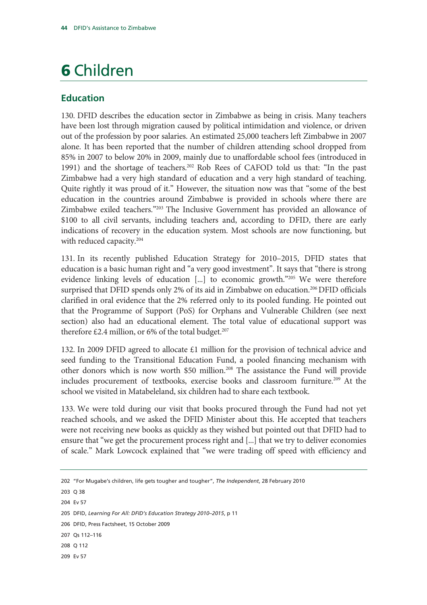## 6 Children

### **Education**

130. DFID describes the education sector in Zimbabwe as being in crisis. Many teachers have been lost through migration caused by political intimidation and violence, or driven out of the profession by poor salaries. An estimated 25,000 teachers left Zimbabwe in 2007 alone. It has been reported that the number of children attending school dropped from 85% in 2007 to below 20% in 2009, mainly due to unaffordable school fees (introduced in 1991) and the shortage of teachers.202 Rob Rees of CAFOD told us that: "In the past Zimbabwe had a very high standard of education and a very high standard of teaching. Quite rightly it was proud of it." However, the situation now was that "some of the best education in the countries around Zimbabwe is provided in schools where there are Zimbabwe exiled teachers."203 The Inclusive Government has provided an allowance of \$100 to all civil servants, including teachers and, according to DFID, there are early indications of recovery in the education system. Most schools are now functioning, but with reduced capacity.<sup>204</sup>

131. In its recently published Education Strategy for 2010–2015, DFID states that education is a basic human right and "a very good investment". It says that "there is strong evidence linking levels of education  $[\ldots]$  to economic growth."<sup>205</sup> We were therefore surprised that DFID spends only 2% of its aid in Zimbabwe on education.<sup>206</sup> DFID officials clarified in oral evidence that the 2% referred only to its pooled funding. He pointed out that the Programme of Support (PoS) for Orphans and Vulnerable Children (see next section) also had an educational element. The total value of educational support was therefore £2.4 million, or 6% of the total budget.<sup>207</sup>

132. In 2009 DFID agreed to allocate  $\epsilon$ 1 million for the provision of technical advice and seed funding to the Transitional Education Fund, a pooled financing mechanism with other donors which is now worth \$50 million.<sup>208</sup> The assistance the Fund will provide includes procurement of textbooks, exercise books and classroom furniture.209 At the school we visited in Matabeleland, six children had to share each textbook.

133. We were told during our visit that books procured through the Fund had not yet reached schools, and we asked the DFID Minister about this. He accepted that teachers were not receiving new books as quickly as they wished but pointed out that DFID had to ensure that "we get the procurement process right and [...] that we try to deliver economies of scale." Mark Lowcock explained that "we were trading off speed with efficiency and

203 Q 38

204 Ev 57

<sup>202 &</sup>quot;For Mugabe's children, life gets tougher and tougher", *The Independent*, 28 February 2010

<sup>205</sup> DFID, *Learning For All: DFID's Education Strategy 2010–2015*, p 11

<sup>206</sup> DFID, Press Factsheet, 15 October 2009

<sup>207</sup> Qs 112–116

<sup>208</sup> Q 112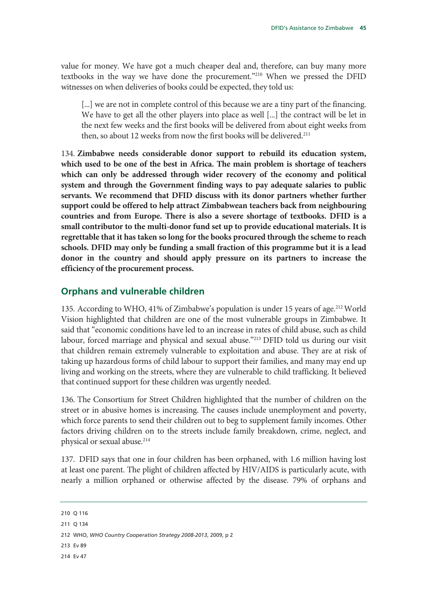value for money. We have got a much cheaper deal and, therefore, can buy many more textbooks in the way we have done the procurement."210 When we pressed the DFID witnesses on when deliveries of books could be expected, they told us:

[...] we are not in complete control of this because we are a tiny part of the financing. We have to get all the other players into place as well [...] the contract will be let in the next few weeks and the first books will be delivered from about eight weeks from then, so about 12 weeks from now the first books will be delivered.<sup>211</sup>

134. **Zimbabwe needs considerable donor support to rebuild its education system, which used to be one of the best in Africa. The main problem is shortage of teachers which can only be addressed through wider recovery of the economy and political system and through the Government finding ways to pay adequate salaries to public servants. We recommend that DFID discuss with its donor partners whether further support could be offered to help attract Zimbabwean teachers back from neighbouring countries and from Europe. There is also a severe shortage of textbooks. DFID is a small contributor to the multi-donor fund set up to provide educational materials. It is regrettable that it has taken so long for the books procured through the scheme to reach schools. DFID may only be funding a small fraction of this programme but it is a lead donor in the country and should apply pressure on its partners to increase the efficiency of the procurement process.**

### **Orphans and vulnerable children**

135. According to WHO, 41% of Zimbabwe's population is under 15 years of age.<sup>212</sup> World Vision highlighted that children are one of the most vulnerable groups in Zimbabwe. It said that "economic conditions have led to an increase in rates of child abuse, such as child labour, forced marriage and physical and sexual abuse."213 DFID told us during our visit that children remain extremely vulnerable to exploitation and abuse. They are at risk of taking up hazardous forms of child labour to support their families, and many may end up living and working on the streets, where they are vulnerable to child trafficking. It believed that continued support for these children was urgently needed.

136. The Consortium for Street Children highlighted that the number of children on the street or in abusive homes is increasing. The causes include unemployment and poverty, which force parents to send their children out to beg to supplement family incomes. Other factors driving children on to the streets include family breakdown, crime, neglect, and physical or sexual abuse.<sup>214</sup>

137. DFID says that one in four children has been orphaned, with 1.6 million having lost at least one parent. The plight of children affected by HIV/AIDS is particularly acute, with nearly a million orphaned or otherwise affected by the disease. 79% of orphans and

210 Q 116

211 Q 134

212 WHO, *WHO Country Cooperation Strategy 2008-2013*, 2009, p 2

213 Ev 89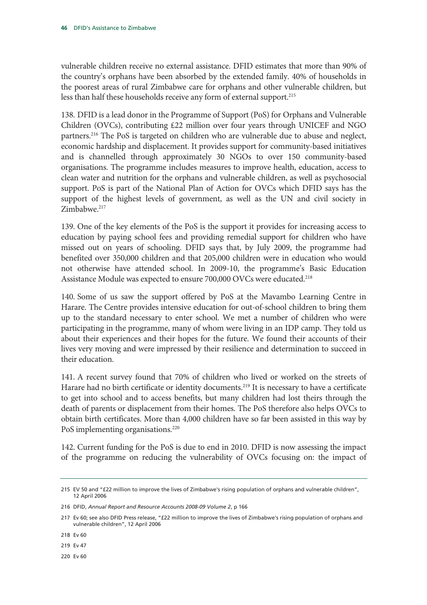vulnerable children receive no external assistance. DFID estimates that more than 90% of the country's orphans have been absorbed by the extended family. 40% of households in the poorest areas of rural Zimbabwe care for orphans and other vulnerable children, but less than half these households receive any form of external support.<sup>215</sup>

138. DFID is a lead donor in the Programme of Support (PoS) for Orphans and Vulnerable Children (OVCs), contributing £22 million over four years through UNICEF and NGO partners.<sup>216</sup> The PoS is targeted on children who are vulnerable due to abuse and neglect, economic hardship and displacement. It provides support for community-based initiatives and is channelled through approximately 30 NGOs to over 150 community-based organisations. The programme includes measures to improve health, education, access to clean water and nutrition for the orphans and vulnerable children, as well as psychosocial support. PoS is part of the National Plan of Action for OVCs which DFID says has the support of the highest levels of government, as well as the UN and civil society in Zimbabwe.<sup>217</sup>

139. One of the key elements of the PoS is the support it provides for increasing access to education by paying school fees and providing remedial support for children who have missed out on years of schooling. DFID says that, by July 2009, the programme had benefited over 350,000 children and that 205,000 children were in education who would not otherwise have attended school. In 2009-10, the programme's Basic Education Assistance Module was expected to ensure 700,000 OVCs were educated.<sup>218</sup>

140. Some of us saw the support offered by PoS at the Mavambo Learning Centre in Harare. The Centre provides intensive education for out-of-school children to bring them up to the standard necessary to enter school. We met a number of children who were participating in the programme, many of whom were living in an IDP camp. They told us about their experiences and their hopes for the future. We found their accounts of their lives very moving and were impressed by their resilience and determination to succeed in their education.

141. A recent survey found that 70% of children who lived or worked on the streets of Harare had no birth certificate or identity documents.<sup>219</sup> It is necessary to have a certificate to get into school and to access benefits, but many children had lost theirs through the death of parents or displacement from their homes. The PoS therefore also helps OVCs to obtain birth certificates. More than 4,000 children have so far been assisted in this way by PoS implementing organisations.<sup>220</sup>

142. Current funding for the PoS is due to end in 2010. DFID is now assessing the impact of the programme on reducing the vulnerability of OVCs focusing on: the impact of

219 Ev 47

<sup>215</sup> EV 50 and "£22 million to improve the lives of Zimbabwe's rising population of orphans and vulnerable children", 12 April 2006

<sup>216</sup> DFID, *Annual Report and Resource Accounts 2008-09 Volume 2*, p 166

<sup>217</sup> Ev 60; see also DFID Press release, "£22 million to improve the lives of Zimbabwe's rising population of orphans and vulnerable children", 12 April 2006

<sup>218</sup> Ev 60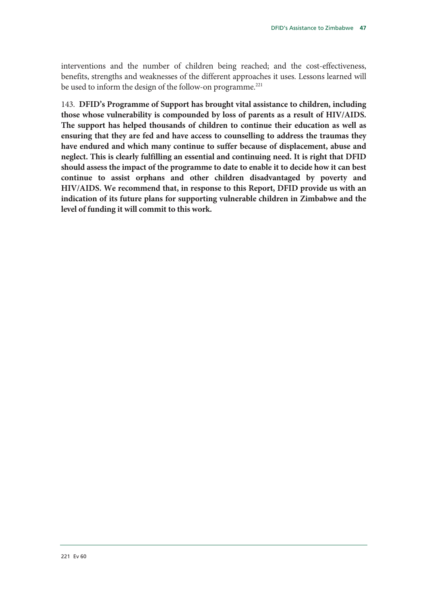interventions and the number of children being reached; and the cost-effectiveness, benefits, strengths and weaknesses of the different approaches it uses. Lessons learned will be used to inform the design of the follow-on programme.<sup>221</sup>

143. **DFID's Programme of Support has brought vital assistance to children, including those whose vulnerability is compounded by loss of parents as a result of HIV/AIDS. The support has helped thousands of children to continue their education as well as ensuring that they are fed and have access to counselling to address the traumas they have endured and which many continue to suffer because of displacement, abuse and neglect. This is clearly fulfilling an essential and continuing need. It is right that DFID should assess the impact of the programme to date to enable it to decide how it can best continue to assist orphans and other children disadvantaged by poverty and HIV/AIDS. We recommend that, in response to this Report, DFID provide us with an indication of its future plans for supporting vulnerable children in Zimbabwe and the level of funding it will commit to this work.**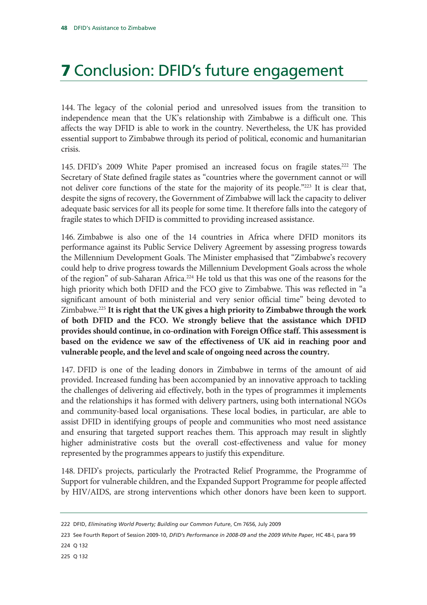## 7 Conclusion: DFID's future engagement

144. The legacy of the colonial period and unresolved issues from the transition to independence mean that the UK's relationship with Zimbabwe is a difficult one. This affects the way DFID is able to work in the country. Nevertheless, the UK has provided essential support to Zimbabwe through its period of political, economic and humanitarian crisis.

145. DFID's 2009 White Paper promised an increased focus on fragile states.222 The Secretary of State defined fragile states as "countries where the government cannot or will not deliver core functions of the state for the majority of its people."<sup>223</sup> It is clear that, despite the signs of recovery, the Government of Zimbabwe will lack the capacity to deliver adequate basic services for all its people for some time. It therefore falls into the category of fragile states to which DFID is committed to providing increased assistance.

146. Zimbabwe is also one of the 14 countries in Africa where DFID monitors its performance against its Public Service Delivery Agreement by assessing progress towards the Millennium Development Goals. The Minister emphasised that "Zimbabwe's recovery could help to drive progress towards the Millennium Development Goals across the whole of the region" of sub-Saharan Africa.<sup>224</sup> He told us that this was one of the reasons for the high priority which both DFID and the FCO give to Zimbabwe. This was reflected in "a significant amount of both ministerial and very senior official time" being devoted to Zimbabwe.225 **It is right that the UK gives a high priority to Zimbabwe through the work of both DFID and the FCO. We strongly believe that the assistance which DFID provides should continue, in co-ordination with Foreign Office staff. This assessment is based on the evidence we saw of the effectiveness of UK aid in reaching poor and vulnerable people, and the level and scale of ongoing need across the country.**

147. DFID is one of the leading donors in Zimbabwe in terms of the amount of aid provided. Increased funding has been accompanied by an innovative approach to tackling the challenges of delivering aid effectively, both in the types of programmes it implements and the relationships it has formed with delivery partners, using both international NGOs and community-based local organisations. These local bodies, in particular, are able to assist DFID in identifying groups of people and communities who most need assistance and ensuring that targeted support reaches them. This approach may result in slightly higher administrative costs but the overall cost-effectiveness and value for money represented by the programmes appears to justify this expenditure.

148. DFID's projects, particularly the Protracted Relief Programme, the Programme of Support for vulnerable children, and the Expanded Support Programme for people affected by HIV/AIDS, are strong interventions which other donors have been keen to support.

<sup>222</sup> DFID, *Eliminating World Poverty; Building our Common Future*, Cm 7656, July 2009

<sup>223</sup> See Fourth Report of Session 2009-10, *DFID's Performance in 2008-09 and the 2009 White Paper,* HC 48-I, para 99 224 Q 132

<sup>225</sup> Q 132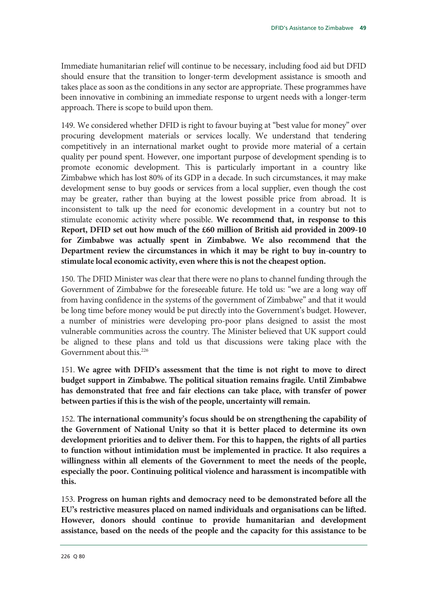Immediate humanitarian relief will continue to be necessary, including food aid but DFID should ensure that the transition to longer-term development assistance is smooth and takes place as soon as the conditions in any sector are appropriate. These programmes have been innovative in combining an immediate response to urgent needs with a longer-term approach. There is scope to build upon them.

149. We considered whether DFID is right to favour buying at "best value for money" over procuring development materials or services locally. We understand that tendering competitively in an international market ought to provide more material of a certain quality per pound spent. However, one important purpose of development spending is to promote economic development. This is particularly important in a country like Zimbabwe which has lost 80% of its GDP in a decade. In such circumstances, it may make development sense to buy goods or services from a local supplier, even though the cost may be greater, rather than buying at the lowest possible price from abroad. It is inconsistent to talk up the need for economic development in a country but not to stimulate economic activity where possible. **We recommend that, in response to this Report, DFID set out how much of the £60 million of British aid provided in 2009-10 for Zimbabwe was actually spent in Zimbabwe. We also recommend that the Department review the circumstances in which it may be right to buy in-country to stimulate local economic activity, even where this is not the cheapest option.** 

150. The DFID Minister was clear that there were no plans to channel funding through the Government of Zimbabwe for the foreseeable future. He told us: "we are a long way off from having confidence in the systems of the government of Zimbabwe" and that it would be long time before money would be put directly into the Government's budget. However, a number of ministries were developing pro-poor plans designed to assist the most vulnerable communities across the country. The Minister believed that UK support could be aligned to these plans and told us that discussions were taking place with the Government about this.<sup>226</sup>

151. **We agree with DFID's assessment that the time is not right to move to direct budget support in Zimbabwe. The political situation remains fragile. Until Zimbabwe has demonstrated that free and fair elections can take place, with transfer of power between parties if this is the wish of the people, uncertainty will remain.** 

152. **The international community's focus should be on strengthening the capability of the Government of National Unity so that it is better placed to determine its own development priorities and to deliver them. For this to happen, the rights of all parties to function without intimidation must be implemented in practice. It also requires a willingness within all elements of the Government to meet the needs of the people, especially the poor. Continuing political violence and harassment is incompatible with this.** 

153. **Progress on human rights and democracy need to be demonstrated before all the EU's restrictive measures placed on named individuals and organisations can be lifted. However, donors should continue to provide humanitarian and development assistance, based on the needs of the people and the capacity for this assistance to be**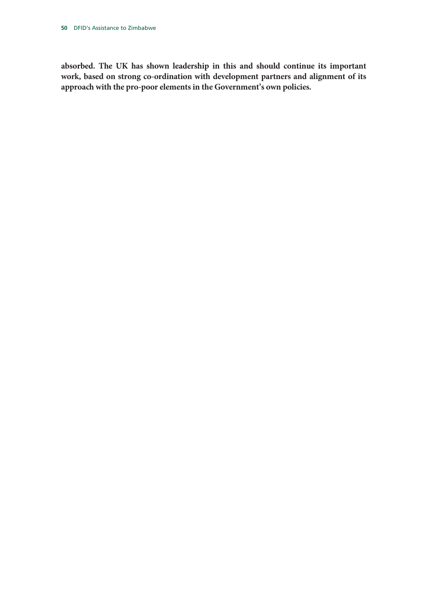**absorbed. The UK has shown leadership in this and should continue its important work, based on strong co-ordination with development partners and alignment of its approach with the pro-poor elements in the Government's own policies.**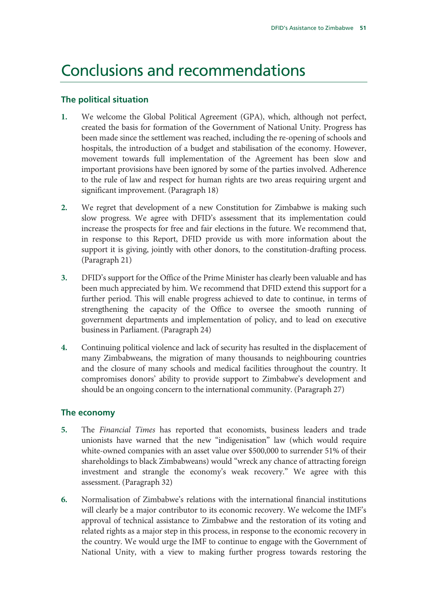### Conclusions and recommendations

### **The political situation**

- **1.** We welcome the Global Political Agreement (GPA), which, although not perfect, created the basis for formation of the Government of National Unity. Progress has been made since the settlement was reached, including the re-opening of schools and hospitals, the introduction of a budget and stabilisation of the economy. However, movement towards full implementation of the Agreement has been slow and important provisions have been ignored by some of the parties involved. Adherence to the rule of law and respect for human rights are two areas requiring urgent and significant improvement. (Paragraph 18)
- **2.** We regret that development of a new Constitution for Zimbabwe is making such slow progress. We agree with DFID's assessment that its implementation could increase the prospects for free and fair elections in the future. We recommend that, in response to this Report, DFID provide us with more information about the support it is giving, jointly with other donors, to the constitution-drafting process. (Paragraph 21)
- **3.** DFID's support for the Office of the Prime Minister has clearly been valuable and has been much appreciated by him. We recommend that DFID extend this support for a further period. This will enable progress achieved to date to continue, in terms of strengthening the capacity of the Office to oversee the smooth running of government departments and implementation of policy, and to lead on executive business in Parliament. (Paragraph 24)
- **4.** Continuing political violence and lack of security has resulted in the displacement of many Zimbabweans, the migration of many thousands to neighbouring countries and the closure of many schools and medical facilities throughout the country. It compromises donors' ability to provide support to Zimbabwe's development and should be an ongoing concern to the international community. (Paragraph 27)

### **The economy**

- **5.** The *Financial Times* has reported that economists, business leaders and trade unionists have warned that the new "indigenisation" law (which would require white-owned companies with an asset value over \$500,000 to surrender 51% of their shareholdings to black Zimbabweans) would "wreck any chance of attracting foreign investment and strangle the economy's weak recovery." We agree with this assessment. (Paragraph 32)
- **6.** Normalisation of Zimbabwe's relations with the international financial institutions will clearly be a major contributor to its economic recovery. We welcome the IMF's approval of technical assistance to Zimbabwe and the restoration of its voting and related rights as a major step in this process, in response to the economic recovery in the country. We would urge the IMF to continue to engage with the Government of National Unity, with a view to making further progress towards restoring the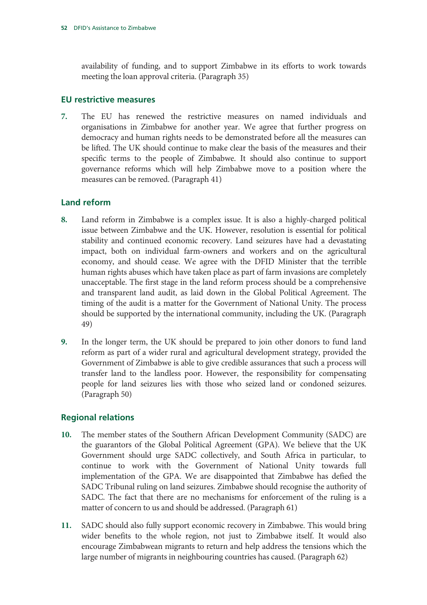availability of funding, and to support Zimbabwe in its efforts to work towards meeting the loan approval criteria. (Paragraph 35)

### **EU restrictive measures**

**7.** The EU has renewed the restrictive measures on named individuals and organisations in Zimbabwe for another year. We agree that further progress on democracy and human rights needs to be demonstrated before all the measures can be lifted. The UK should continue to make clear the basis of the measures and their specific terms to the people of Zimbabwe. It should also continue to support governance reforms which will help Zimbabwe move to a position where the measures can be removed. (Paragraph 41)

### **Land reform**

- **8.** Land reform in Zimbabwe is a complex issue. It is also a highly-charged political issue between Zimbabwe and the UK. However, resolution is essential for political stability and continued economic recovery. Land seizures have had a devastating impact, both on individual farm-owners and workers and on the agricultural economy, and should cease. We agree with the DFID Minister that the terrible human rights abuses which have taken place as part of farm invasions are completely unacceptable. The first stage in the land reform process should be a comprehensive and transparent land audit, as laid down in the Global Political Agreement. The timing of the audit is a matter for the Government of National Unity. The process should be supported by the international community, including the UK. (Paragraph 49)
- **9.** In the longer term, the UK should be prepared to join other donors to fund land reform as part of a wider rural and agricultural development strategy, provided the Government of Zimbabwe is able to give credible assurances that such a process will transfer land to the landless poor. However, the responsibility for compensating people for land seizures lies with those who seized land or condoned seizures. (Paragraph 50)

### **Regional relations**

- **10.** The member states of the Southern African Development Community (SADC) are the guarantors of the Global Political Agreement (GPA). We believe that the UK Government should urge SADC collectively, and South Africa in particular, to continue to work with the Government of National Unity towards full implementation of the GPA. We are disappointed that Zimbabwe has defied the SADC Tribunal ruling on land seizures. Zimbabwe should recognise the authority of SADC. The fact that there are no mechanisms for enforcement of the ruling is a matter of concern to us and should be addressed. (Paragraph 61)
- **11.** SADC should also fully support economic recovery in Zimbabwe. This would bring wider benefits to the whole region, not just to Zimbabwe itself. It would also encourage Zimbabwean migrants to return and help address the tensions which the large number of migrants in neighbouring countries has caused. (Paragraph 62)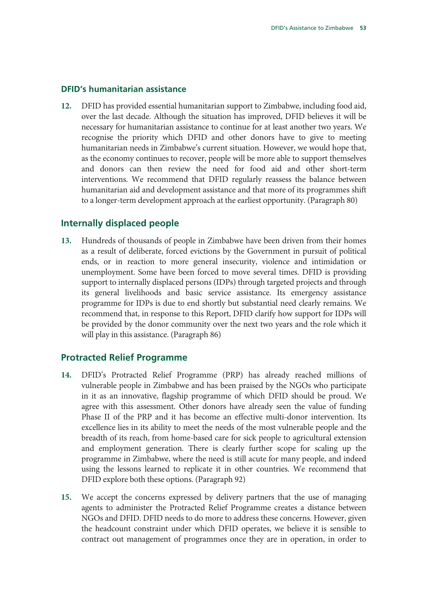### **DFID's humanitarian assistance**

**12.** DFID has provided essential humanitarian support to Zimbabwe, including food aid, over the last decade. Although the situation has improved, DFID believes it will be necessary for humanitarian assistance to continue for at least another two years. We recognise the priority which DFID and other donors have to give to meeting humanitarian needs in Zimbabwe's current situation. However, we would hope that, as the economy continues to recover, people will be more able to support themselves and donors can then review the need for food aid and other short-term interventions. We recommend that DFID regularly reassess the balance between humanitarian aid and development assistance and that more of its programmes shift to a longer-term development approach at the earliest opportunity. (Paragraph 80)

### **Internally displaced people**

**13.** Hundreds of thousands of people in Zimbabwe have been driven from their homes as a result of deliberate, forced evictions by the Government in pursuit of political ends, or in reaction to more general insecurity, violence and intimidation or unemployment. Some have been forced to move several times. DFID is providing support to internally displaced persons (IDPs) through targeted projects and through its general livelihoods and basic service assistance. Its emergency assistance programme for IDPs is due to end shortly but substantial need clearly remains. We recommend that, in response to this Report, DFID clarify how support for IDPs will be provided by the donor community over the next two years and the role which it will play in this assistance. (Paragraph 86)

### **Protracted Relief Programme**

- **14.** DFID's Protracted Relief Programme (PRP) has already reached millions of vulnerable people in Zimbabwe and has been praised by the NGOs who participate in it as an innovative, flagship programme of which DFID should be proud. We agree with this assessment. Other donors have already seen the value of funding Phase II of the PRP and it has become an effective multi-donor intervention. Its excellence lies in its ability to meet the needs of the most vulnerable people and the breadth of its reach, from home-based care for sick people to agricultural extension and employment generation. There is clearly further scope for scaling up the programme in Zimbabwe, where the need is still acute for many people, and indeed using the lessons learned to replicate it in other countries. We recommend that DFID explore both these options. (Paragraph 92)
- **15.** We accept the concerns expressed by delivery partners that the use of managing agents to administer the Protracted Relief Programme creates a distance between NGOs and DFID. DFID needs to do more to address these concerns. However, given the headcount constraint under which DFID operates, we believe it is sensible to contract out management of programmes once they are in operation, in order to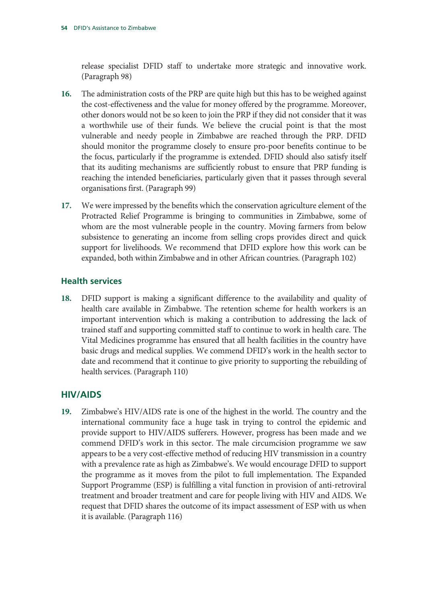release specialist DFID staff to undertake more strategic and innovative work. (Paragraph 98)

- **16.** The administration costs of the PRP are quite high but this has to be weighed against the cost-effectiveness and the value for money offered by the programme. Moreover, other donors would not be so keen to join the PRP if they did not consider that it was a worthwhile use of their funds. We believe the crucial point is that the most vulnerable and needy people in Zimbabwe are reached through the PRP. DFID should monitor the programme closely to ensure pro-poor benefits continue to be the focus, particularly if the programme is extended. DFID should also satisfy itself that its auditing mechanisms are sufficiently robust to ensure that PRP funding is reaching the intended beneficiaries, particularly given that it passes through several organisations first. (Paragraph 99)
- **17.** We were impressed by the benefits which the conservation agriculture element of the Protracted Relief Programme is bringing to communities in Zimbabwe, some of whom are the most vulnerable people in the country. Moving farmers from below subsistence to generating an income from selling crops provides direct and quick support for livelihoods. We recommend that DFID explore how this work can be expanded, both within Zimbabwe and in other African countries. (Paragraph 102)

### **Health services**

**18.** DFID support is making a significant difference to the availability and quality of health care available in Zimbabwe. The retention scheme for health workers is an important intervention which is making a contribution to addressing the lack of trained staff and supporting committed staff to continue to work in health care. The Vital Medicines programme has ensured that all health facilities in the country have basic drugs and medical supplies. We commend DFID's work in the health sector to date and recommend that it continue to give priority to supporting the rebuilding of health services. (Paragraph 110)

### **HIV/AIDS**

**19.** Zimbabwe's HIV/AIDS rate is one of the highest in the world. The country and the international community face a huge task in trying to control the epidemic and provide support to HIV/AIDS sufferers. However, progress has been made and we commend DFID's work in this sector. The male circumcision programme we saw appears to be a very cost-effective method of reducing HIV transmission in a country with a prevalence rate as high as Zimbabwe's. We would encourage DFID to support the programme as it moves from the pilot to full implementation. The Expanded Support Programme (ESP) is fulfilling a vital function in provision of anti-retroviral treatment and broader treatment and care for people living with HIV and AIDS. We request that DFID shares the outcome of its impact assessment of ESP with us when it is available. (Paragraph 116)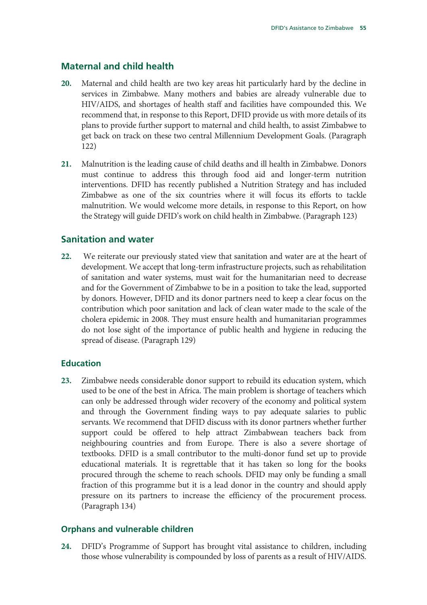### **Maternal and child health**

- **20.** Maternal and child health are two key areas hit particularly hard by the decline in services in Zimbabwe. Many mothers and babies are already vulnerable due to HIV/AIDS, and shortages of health staff and facilities have compounded this. We recommend that, in response to this Report, DFID provide us with more details of its plans to provide further support to maternal and child health, to assist Zimbabwe to get back on track on these two central Millennium Development Goals. (Paragraph 122)
- **21.** Malnutrition is the leading cause of child deaths and ill health in Zimbabwe. Donors must continue to address this through food aid and longer-term nutrition interventions. DFID has recently published a Nutrition Strategy and has included Zimbabwe as one of the six countries where it will focus its efforts to tackle malnutrition. We would welcome more details, in response to this Report, on how the Strategy will guide DFID's work on child health in Zimbabwe. (Paragraph 123)

### **Sanitation and water**

**22.** We reiterate our previously stated view that sanitation and water are at the heart of development. We accept that long-term infrastructure projects, such as rehabilitation of sanitation and water systems, must wait for the humanitarian need to decrease and for the Government of Zimbabwe to be in a position to take the lead, supported by donors. However, DFID and its donor partners need to keep a clear focus on the contribution which poor sanitation and lack of clean water made to the scale of the cholera epidemic in 2008. They must ensure health and humanitarian programmes do not lose sight of the importance of public health and hygiene in reducing the spread of disease. (Paragraph 129)

#### **Education**

**23.** Zimbabwe needs considerable donor support to rebuild its education system, which used to be one of the best in Africa. The main problem is shortage of teachers which can only be addressed through wider recovery of the economy and political system and through the Government finding ways to pay adequate salaries to public servants. We recommend that DFID discuss with its donor partners whether further support could be offered to help attract Zimbabwean teachers back from neighbouring countries and from Europe. There is also a severe shortage of textbooks. DFID is a small contributor to the multi-donor fund set up to provide educational materials. It is regrettable that it has taken so long for the books procured through the scheme to reach schools. DFID may only be funding a small fraction of this programme but it is a lead donor in the country and should apply pressure on its partners to increase the efficiency of the procurement process. (Paragraph 134)

### **Orphans and vulnerable children**

**24.** DFID's Programme of Support has brought vital assistance to children, including those whose vulnerability is compounded by loss of parents as a result of HIV/AIDS.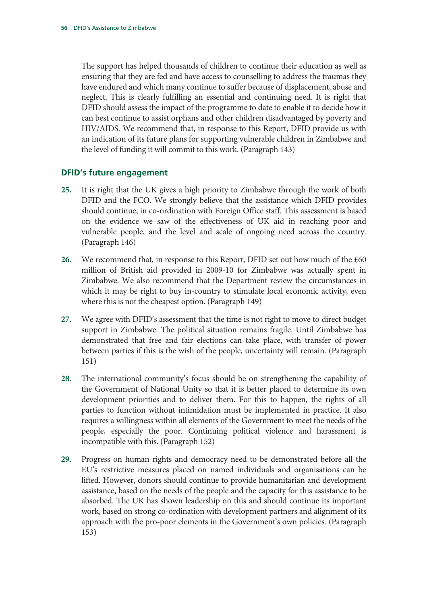The support has helped thousands of children to continue their education as well as ensuring that they are fed and have access to counselling to address the traumas they have endured and which many continue to suffer because of displacement, abuse and neglect. This is clearly fulfilling an essential and continuing need. It is right that DFID should assess the impact of the programme to date to enable it to decide how it can best continue to assist orphans and other children disadvantaged by poverty and HIV/AIDS. We recommend that, in response to this Report, DFID provide us with an indication of its future plans for supporting vulnerable children in Zimbabwe and the level of funding it will commit to this work. (Paragraph 143)

### **DFID's future engagement**

- **25.** It is right that the UK gives a high priority to Zimbabwe through the work of both DFID and the FCO. We strongly believe that the assistance which DFID provides should continue, in co-ordination with Foreign Office staff. This assessment is based on the evidence we saw of the effectiveness of UK aid in reaching poor and vulnerable people, and the level and scale of ongoing need across the country. (Paragraph 146)
- **26.** We recommend that, in response to this Report, DFID set out how much of the £60 million of British aid provided in 2009-10 for Zimbabwe was actually spent in Zimbabwe. We also recommend that the Department review the circumstances in which it may be right to buy in-country to stimulate local economic activity, even where this is not the cheapest option. (Paragraph 149)
- **27.** We agree with DFID's assessment that the time is not right to move to direct budget support in Zimbabwe. The political situation remains fragile. Until Zimbabwe has demonstrated that free and fair elections can take place, with transfer of power between parties if this is the wish of the people, uncertainty will remain. (Paragraph 151)
- **28.** The international community's focus should be on strengthening the capability of the Government of National Unity so that it is better placed to determine its own development priorities and to deliver them. For this to happen, the rights of all parties to function without intimidation must be implemented in practice. It also requires a willingness within all elements of the Government to meet the needs of the people, especially the poor. Continuing political violence and harassment is incompatible with this. (Paragraph 152)
- **29.** Progress on human rights and democracy need to be demonstrated before all the EU's restrictive measures placed on named individuals and organisations can be lifted. However, donors should continue to provide humanitarian and development assistance, based on the needs of the people and the capacity for this assistance to be absorbed. The UK has shown leadership on this and should continue its important work, based on strong co-ordination with development partners and alignment of its approach with the pro-poor elements in the Government's own policies. (Paragraph 153)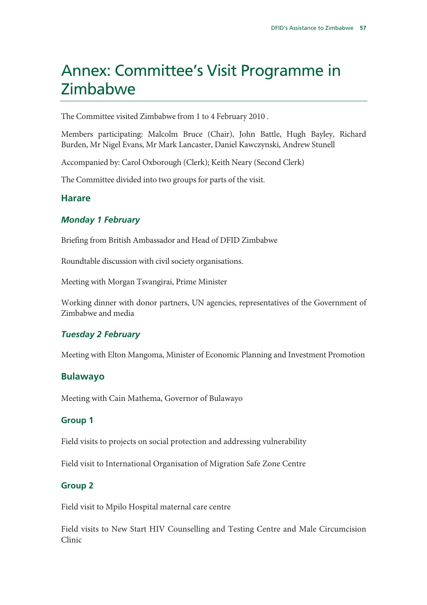### Annex: Committee's Visit Programme in Zimbabwe

The Committee visited Zimbabwe from 1 to 4 February 2010 .

Members participating: Malcolm Bruce (Chair), John Battle, Hugh Bayley, Richard Burden, Mr Nigel Evans, Mr Mark Lancaster, Daniel Kawczynski, Andrew Stunell

Accompanied by: Carol Oxborough (Clerk); Keith Neary (Second Clerk)

The Committee divided into two groups for parts of the visit.

### **Harare**

### *Monday 1 February*

Briefing from British Ambassador and Head of DFID Zimbabwe

Roundtable discussion with civil society organisations.

Meeting with Morgan Tsvangirai, Prime Minister

Working dinner with donor partners, UN agencies, representatives of the Government of Zimbabwe and media

### *Tuesday 2 February*

Meeting with Elton Mangoma, Minister of Economic Planning and Investment Promotion

### **Bulawayo**

Meeting with Cain Mathema, Governor of Bulawayo

### **Group 1**

Field visits to projects on social protection and addressing vulnerability

Field visit to International Organisation of Migration Safe Zone Centre

### **Group 2**

Field visit to Mpilo Hospital maternal care centre

Field visits to New Start HIV Counselling and Testing Centre and Male Circumcision Clinic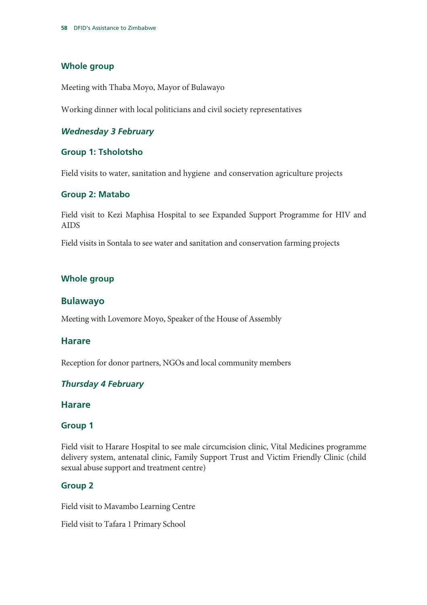### **Whole group**

Meeting with Thaba Moyo, Mayor of Bulawayo

Working dinner with local politicians and civil society representatives

### *Wednesday 3 February*

### **Group 1: Tsholotsho**

Field visits to water, sanitation and hygiene and conservation agriculture projects

### **Group 2: Matabo**

Field visit to Kezi Maphisa Hospital to see Expanded Support Programme for HIV and AIDS

Field visits in Sontala to see water and sanitation and conservation farming projects

### **Whole group**

### **Bulawayo**

Meeting with Lovemore Moyo, Speaker of the House of Assembly

### **Harare**

Reception for donor partners, NGOs and local community members

### *Thursday 4 February*

### **Harare**

### **Group 1**

Field visit to Harare Hospital to see male circumcision clinic, Vital Medicines programme delivery system, antenatal clinic, Family Support Trust and Victim Friendly Clinic (child sexual abuse support and treatment centre)

### **Group 2**

Field visit to Mavambo Learning Centre

Field visit to Tafara 1 Primary School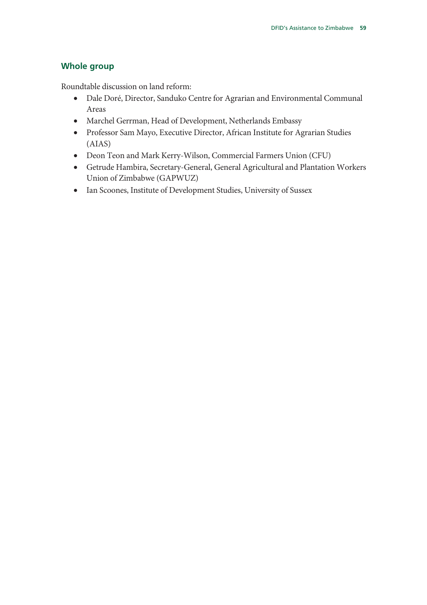### **Whole group**

Roundtable discussion on land reform:

- Dale Doré, Director, Sanduko Centre for Agrarian and Environmental Communal Areas
- Marchel Gerrman, Head of Development, Netherlands Embassy
- Professor Sam Mayo, Executive Director, African Institute for Agrarian Studies (AIAS)
- Deon Teon and Mark Kerry-Wilson, Commercial Farmers Union (CFU)
- Getrude Hambira, Secretary-General, General Agricultural and Plantation Workers Union of Zimbabwe (GAPWUZ)
- Ian Scoones, Institute of Development Studies, University of Sussex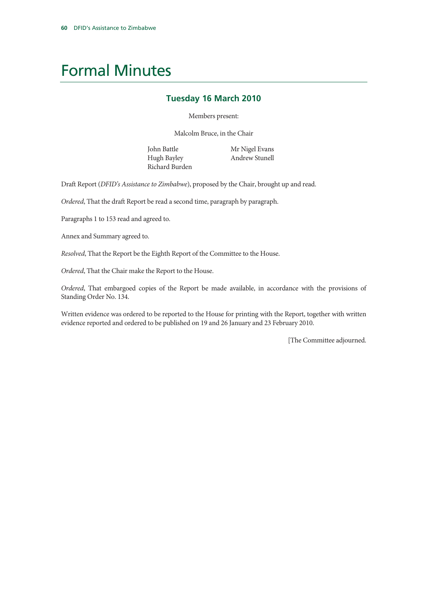## Formal Minutes

### **Tuesday 16 March 2010**

Members present:

Malcolm Bruce, in the Chair

John Battle Hugh Bayley Richard Burden Mr Nigel Evans Andrew Stunell

Draft Report (*DFID's Assistance to Zimbabwe*), proposed by the Chair, brought up and read.

*Ordered*, That the draft Report be read a second time, paragraph by paragraph.

Paragraphs 1 to 153 read and agreed to.

Annex and Summary agreed to.

*Resolved*, That the Report be the Eighth Report of the Committee to the House.

*Ordered*, That the Chair make the Report to the House.

*Ordered*, That embargoed copies of the Report be made available, in accordance with the provisions of Standing Order No. 134.

Written evidence was ordered to be reported to the House for printing with the Report, together with written evidence reported and ordered to be published on 19 and 26 January and 23 February 2010.

[The Committee adjourned.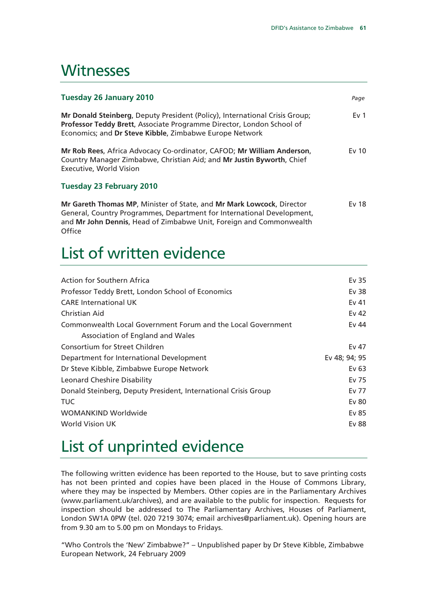### **Witnesses**

| <b>Tuesday 26 January 2010</b>                                                                                                                                                                                                   | Page            |
|----------------------------------------------------------------------------------------------------------------------------------------------------------------------------------------------------------------------------------|-----------------|
| Mr Donald Steinberg, Deputy President (Policy), International Crisis Group;<br>Professor Teddy Brett, Associate Programme Director, London School of<br>Economics; and Dr Steve Kibble, Zimbabwe Europe Network                  | Ev <sub>1</sub> |
| Mr Rob Rees, Africa Advocacy Co-ordinator, CAFOD; Mr William Anderson,<br>Country Manager Zimbabwe, Christian Aid; and Mr Justin Byworth, Chief<br><b>Executive, World Vision</b>                                                | Ev 10           |
| <b>Tuesday 23 February 2010</b>                                                                                                                                                                                                  |                 |
| Mr Gareth Thomas MP, Minister of State, and Mr Mark Lowcock, Director<br>General, Country Programmes, Department for International Development,<br>and Mr John Dennis, Head of Zimbabwe Unit, Foreign and Commonwealth<br>Office | Ev 18           |

## List of written evidence

| Action for Southern Africa                                     | Ev 35         |
|----------------------------------------------------------------|---------------|
| Professor Teddy Brett, London School of Economics              | Ev 38         |
| <b>CARE</b> International UK                                   | Ev $41$       |
| Christian Aid                                                  | Ev 42         |
| Commonwealth Local Government Forum and the Local Government   | Ev 44         |
| Association of England and Wales                               |               |
| Consortium for Street Children                                 | Ev 47         |
| Department for International Development                       | Ev 48; 94; 95 |
| Dr Steve Kibble, Zimbabwe Europe Network                       | Ev $63$       |
| <b>Leonard Cheshire Disability</b>                             | Ev 75         |
| Donald Steinberg, Deputy President, International Crisis Group | Ev 77         |
| <b>TUC</b>                                                     | Ev 80         |
| WOMANKIND Worldwide                                            | Ev 85         |
| <b>World Vision UK</b>                                         | Ev 88         |
|                                                                |               |

## List of unprinted evidence

The following written evidence has been reported to the House, but to save printing costs has not been printed and copies have been placed in the House of Commons Library, where they may be inspected by Members. Other copies are in the Parliamentary Archives (www.parliament.uk/archives), and are available to the public for inspection. Requests for inspection should be addressed to The Parliamentary Archives, Houses of Parliament, London SW1A 0PW (tel. 020 7219 3074; email archives@parliament.uk). Opening hours are from 9.30 am to 5.00 pm on Mondays to Fridays.

"Who Controls the 'New' Zimbabwe?" – Unpublished paper by Dr Steve Kibble, Zimbabwe European Network, 24 February 2009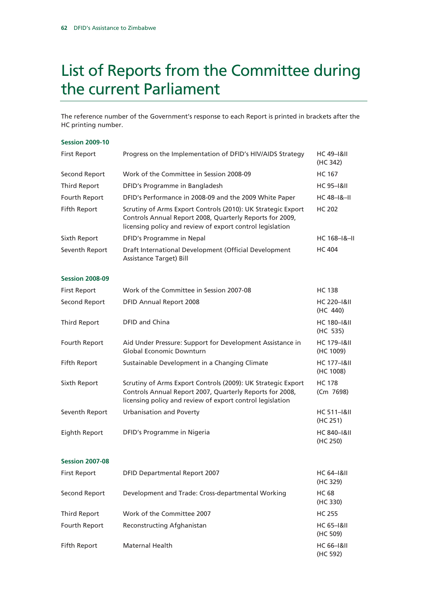## List of Reports from the Committee during the current Parliament

The reference number of the Government's response to each Report is printed in brackets after the HC printing number.

#### **Session 2009-10**

| <b>First Report</b>    | Progress on the Implementation of DFID's HIV/AIDS Strategy                                                                                                                            | <b>HC 49-1&amp;II</b><br>(HC 342)   |
|------------------------|---------------------------------------------------------------------------------------------------------------------------------------------------------------------------------------|-------------------------------------|
| Second Report          | Work of the Committee in Session 2008-09                                                                                                                                              | <b>HC 167</b>                       |
| Third Report           | DFID's Programme in Bangladesh                                                                                                                                                        | <b>HC 95-1&amp;II</b>               |
| Fourth Report          | DFID's Performance in 2008-09 and the 2009 White Paper                                                                                                                                | <b>HC 48-1&amp;-II</b>              |
| Fifth Report           | Scrutiny of Arms Export Controls (2010): UK Strategic Export<br>Controls Annual Report 2008, Quarterly Reports for 2009,<br>licensing policy and review of export control legislation | <b>HC 202</b>                       |
| Sixth Report           | DFID's Programme in Nepal                                                                                                                                                             | $HC 168 - 18 - 11$                  |
| Seventh Report         | Draft International Development (Official Development<br><b>Assistance Target) Bill</b>                                                                                               | <b>HC 404</b>                       |
| <b>Session 2008-09</b> |                                                                                                                                                                                       |                                     |
| <b>First Report</b>    | Work of the Committee in Session 2007-08                                                                                                                                              | <b>HC 138</b>                       |
| Second Report          | <b>DFID Annual Report 2008</b>                                                                                                                                                        | <b>HC 220-1&amp;II</b><br>(HC 440)  |
| <b>Third Report</b>    | DFID and China                                                                                                                                                                        | <b>HC 180-1&amp;II</b><br>(HC 535)  |
| Fourth Report          | Aid Under Pressure: Support for Development Assistance in<br><b>Global Economic Downturn</b>                                                                                          | <b>HC 179-1&amp;II</b><br>(HC 1009) |
| Fifth Report           | Sustainable Development in a Changing Climate                                                                                                                                         | <b>HC 177-1&amp;II</b><br>(HC 1008) |
| Sixth Report           | Scrutiny of Arms Export Controls (2009): UK Strategic Export<br>Controls Annual Report 2007, Quarterly Reports for 2008,<br>licensing policy and review of export control legislation | <b>HC 178</b><br>(Cm 7698)          |
| Seventh Report         | <b>Urbanisation and Poverty</b>                                                                                                                                                       | <b>HC 511-1&amp;II</b><br>(HC 251)  |
| Eighth Report          | DFID's Programme in Nigeria                                                                                                                                                           | <b>HC 840-1&amp;II</b><br>(HC 250)  |
| <b>Session 2007-08</b> |                                                                                                                                                                                       |                                     |
| <b>First Report</b>    | <b>DFID Departmental Report 2007</b>                                                                                                                                                  | <b>HC 64-1&amp;II</b><br>(HC 329)   |
| Second Report          | Development and Trade: Cross-departmental Working                                                                                                                                     | <b>HC 68</b><br>(HC 330)            |
| <b>Third Report</b>    | Work of the Committee 2007                                                                                                                                                            | <b>HC 255</b>                       |
| Fourth Report          | Reconstructing Afghanistan                                                                                                                                                            | <b>HC 65-1&amp;II</b><br>(HC 509)   |
| Fifth Report           | Maternal Health                                                                                                                                                                       | <b>HC 66-1&amp;II</b><br>(HC 592)   |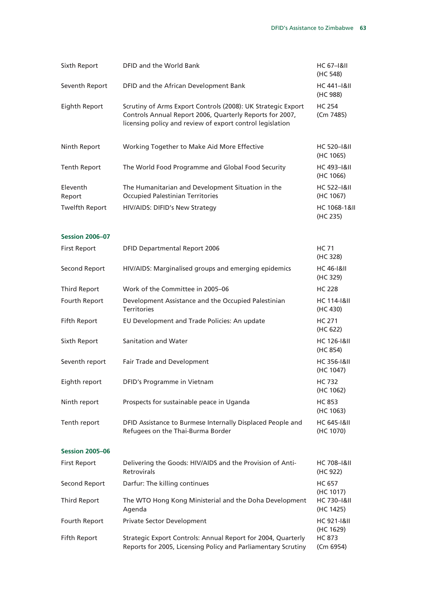| Sixth Report           | DFID and the World Bank                                                                                                                                                               | <b>HC 67-1&amp;II</b><br>(HC 548)                |
|------------------------|---------------------------------------------------------------------------------------------------------------------------------------------------------------------------------------|--------------------------------------------------|
| Seventh Report         | DFID and the African Development Bank                                                                                                                                                 | HC 441-1&II<br>(HC 988)                          |
| Eighth Report          | Scrutiny of Arms Export Controls (2008): UK Strategic Export<br>Controls Annual Report 2006, Quarterly Reports for 2007,<br>licensing policy and review of export control legislation | <b>HC 254</b><br>(Cm 7485)                       |
| Ninth Report           | Working Together to Make Aid More Effective                                                                                                                                           | <b>HC 520-1&amp;II</b><br>(HC 1065)              |
| <b>Tenth Report</b>    | The World Food Programme and Global Food Security                                                                                                                                     | <b>HC 493-1&amp;II</b><br>(HC 1066)              |
| Eleventh<br>Report     | The Humanitarian and Development Situation in the<br><b>Occupied Palestinian Territories</b>                                                                                          | <b>HC 522-1&amp;II</b><br>(HC 1067)              |
| <b>Twelfth Report</b>  | HIV/AIDS: DIFID's New Strategy                                                                                                                                                        | <b>HC 1068-1&amp;II</b><br>(HC 235)              |
| <b>Session 2006-07</b> |                                                                                                                                                                                       |                                                  |
| <b>First Report</b>    | <b>DFID Departmental Report 2006</b>                                                                                                                                                  | HC 71<br>(HC 328)                                |
| Second Report          | HIV/AIDS: Marginalised groups and emerging epidemics                                                                                                                                  | <b>HC 46-1&amp;II</b><br>(HC 329)                |
| <b>Third Report</b>    | Work of the Committee in 2005-06                                                                                                                                                      | <b>HC 228</b>                                    |
| Fourth Report          | Development Assistance and the Occupied Palestinian<br><b>Territories</b>                                                                                                             | <b>HC 114-1&amp;II</b><br>(HC 430)               |
| Fifth Report           | EU Development and Trade Policies: An update                                                                                                                                          | HC 271<br>(HC 622)                               |
| Sixth Report           | Sanitation and Water                                                                                                                                                                  | <b>HC 126-1&amp;II</b><br>(HC 854)               |
| Seventh report         | Fair Trade and Development                                                                                                                                                            | <b>HC 356-1&amp;II</b><br>(HC 1047)              |
| Eighth report          | DFID's Programme in Vietnam                                                                                                                                                           | <b>HC 732</b><br>(HC 1062)                       |
| Ninth report           | Prospects for sustainable peace in Uganda                                                                                                                                             | <b>HC 853</b><br>(HC 1063)                       |
| Tenth report           | DFID Assistance to Burmese Internally Displaced People and<br>Refugees on the Thai-Burma Border                                                                                       | <b>HC 645-1&amp;II</b><br>(HC 1070)              |
| <b>Session 2005-06</b> |                                                                                                                                                                                       |                                                  |
| <b>First Report</b>    | Delivering the Goods: HIV/AIDS and the Provision of Anti-<br>Retrovirals                                                                                                              | <b>HC 708-1&amp;II</b><br>(HC 922)               |
| Second Report          | Darfur: The killing continues                                                                                                                                                         | <b>HC 657</b>                                    |
| <b>Third Report</b>    | The WTO Hong Kong Ministerial and the Doha Development<br>Agenda                                                                                                                      | (HC 1017)<br><b>HC 730-1&amp;II</b><br>(HC 1425) |
| Fourth Report          | Private Sector Development                                                                                                                                                            | <b>HC 921-1&amp;II</b>                           |
| Fifth Report           | Strategic Export Controls: Annual Report for 2004, Quarterly<br>Reports for 2005, Licensing Policy and Parliamentary Scrutiny                                                         | (HC 1629)<br><b>HC 873</b><br>(Cm 6954)          |